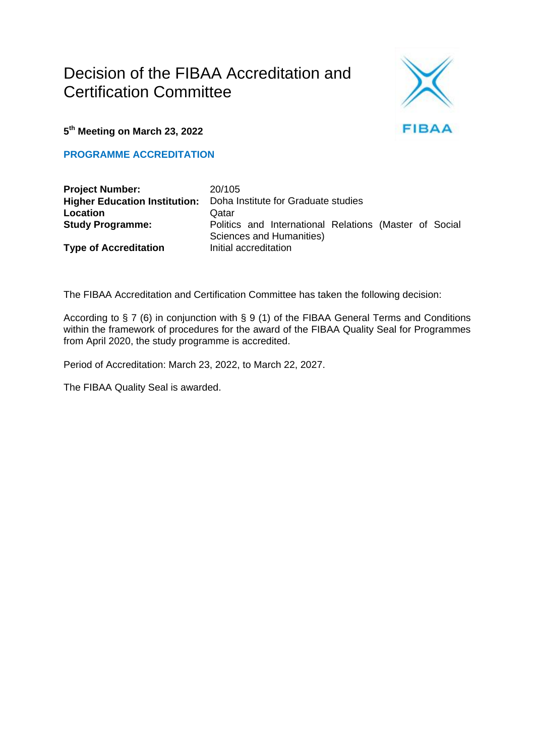## Decision of the FIBAA Accreditation and Certification Committee



**5 th Meeting on March 23, 2022**

**PROGRAMME ACCREDITATION**

| <b>Project Number:</b>               | 20/105                              |                                                                                    |  |  |  |  |
|--------------------------------------|-------------------------------------|------------------------------------------------------------------------------------|--|--|--|--|
| <b>Higher Education Institution:</b> | Doha Institute for Graduate studies |                                                                                    |  |  |  |  |
| Location                             | Qatar                               |                                                                                    |  |  |  |  |
| <b>Study Programme:</b>              |                                     | Politics and International Relations (Master of Social<br>Sciences and Humanities) |  |  |  |  |
| <b>Type of Accreditation</b>         | Initial accreditation               |                                                                                    |  |  |  |  |

The FIBAA Accreditation and Certification Committee has taken the following decision:

According to § 7 (6) in conjunction with § 9 (1) of the FIBAA General Terms and Conditions within the framework of procedures for the award of the FIBAA Quality Seal for Programmes from April 2020, the study programme is accredited.

Period of Accreditation: March 23, 2022, to March 22, 2027.

The FIBAA Quality Seal is awarded.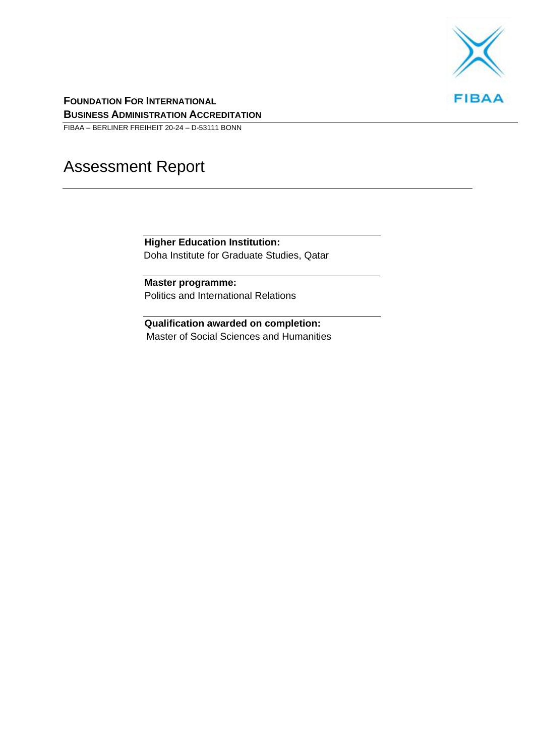

**FOUNDATION FOR INTERNATIONAL BUSINESS ADMINISTRATION ACCREDITATION**

FIBAA – BERLINER FREIHEIT 20-24 – D-53111 BONN

# Assessment Report

**Higher Education Institution:** Doha Institute for Graduate Studies, Qatar

**Master programme:** Politics and International Relations

**Qualification awarded on completion:** Master of Social Sciences and Humanities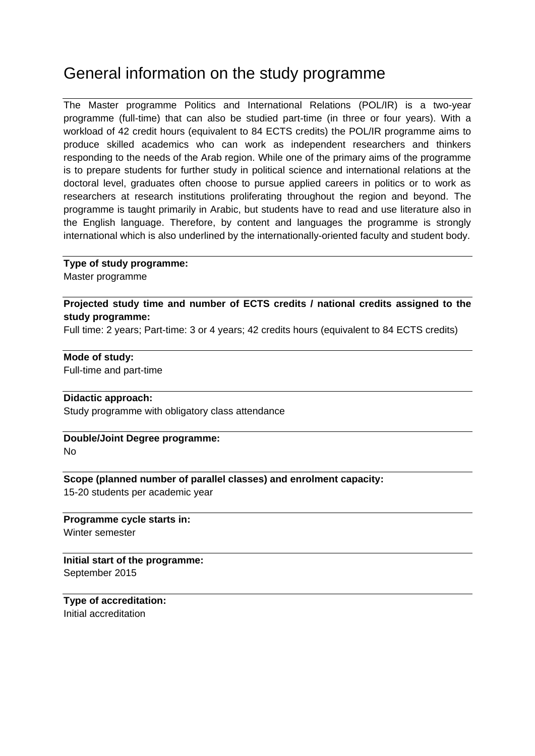## General information on the study programme

The Master programme Politics and International Relations (POL/IR) is a two-year programme (full-time) that can also be studied part-time (in three or four years). With a workload of 42 credit hours (equivalent to 84 ECTS credits) the POL/IR programme aims to produce skilled academics who can work as independent researchers and thinkers responding to the needs of the Arab region. While one of the primary aims of the programme is to prepare students for further study in political science and international relations at the doctoral level, graduates often choose to pursue applied careers in politics or to work as researchers at research institutions proliferating throughout the region and beyond. The programme is taught primarily in Arabic, but students have to read and use literature also in the English language. Therefore, by content and languages the programme is strongly international which is also underlined by the internationally-oriented faculty and student body.

#### **Type of study programme:**

Master programme

#### **Projected study time and number of ECTS credits / national credits assigned to the study programme:**

Full time: 2 years; Part-time: 3 or 4 years; 42 credits hours (equivalent to 84 ECTS credits)

#### **Mode of study:**

Full-time and part-time

#### **Didactic approach:**

Study programme with obligatory class attendance

#### **Double/Joint Degree programme:**

No

#### **Scope (planned number of parallel classes) and enrolment capacity:**

15-20 students per academic year

#### **Programme cycle starts in:** Winter semester

**Initial start of the programme:** September 2015

#### **Type of accreditation:** Initial accreditation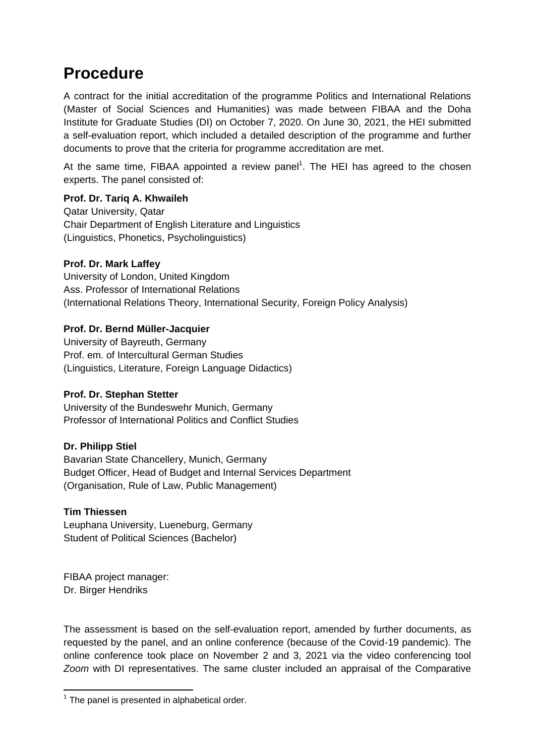## **Procedure**

A contract for the initial accreditation of the programme Politics and International Relations (Master of Social Sciences and Humanities) was made between FIBAA and the Doha Institute for Graduate Studies (DI) on October 7, 2020. On June 30, 2021, the HEI submitted a self-evaluation report, which included a detailed description of the programme and further documents to prove that the criteria for programme accreditation are met.

At the same time, FIBAA appointed a review panel<sup>1</sup>. The HEI has agreed to the chosen experts. The panel consisted of:

#### **Prof. Dr. Tariq A. Khwaileh**

Qatar University, Qatar Chair Department of English Literature and Linguistics (Linguistics, Phonetics, Psycholinguistics)

#### **Prof. Dr. Mark Laffey**

University of London, United Kingdom Ass. Professor of International Relations (International Relations Theory, International Security, Foreign Policy Analysis)

#### **Prof. Dr. Bernd Müller-Jacquier**

University of Bayreuth, Germany Prof. em. of Intercultural German Studies (Linguistics, Literature, Foreign Language Didactics)

#### **Prof. Dr. Stephan Stetter**

University of the Bundeswehr Munich, Germany Professor of International Politics and Conflict Studies

#### **Dr. Philipp Stiel**

Bavarian State Chancellery, Munich, Germany Budget Officer, Head of Budget and Internal Services Department (Organisation, Rule of Law, Public Management)

#### **Tim Thiessen**

Leuphana University, Lueneburg, Germany Student of Political Sciences (Bachelor)

FIBAA project manager: Dr. Birger Hendriks

The assessment is based on the self-evaluation report, amended by further documents, as requested by the panel, and an online conference (because of the Covid-19 pandemic). The online conference took place on November 2 and 3, 2021 via the video conferencing tool *Zoom* with DI representatives. The same cluster included an appraisal of the Comparative

 1 The panel is presented in alphabetical order.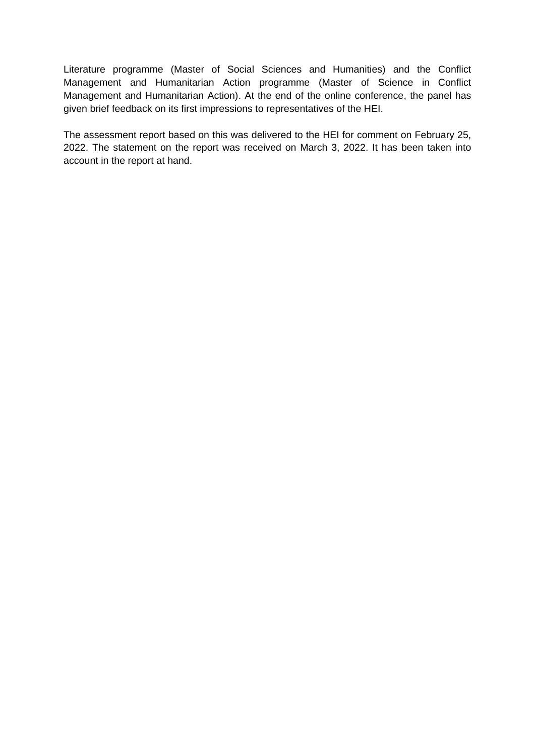Literature programme (Master of Social Sciences and Humanities) and the Conflict Management and Humanitarian Action programme (Master of Science in Conflict Management and Humanitarian Action). At the end of the online conference, the panel has given brief feedback on its first impressions to representatives of the HEI.

The assessment report based on this was delivered to the HEI for comment on February 25, 2022. The statement on the report was received on March 3, 2022. It has been taken into account in the report at hand.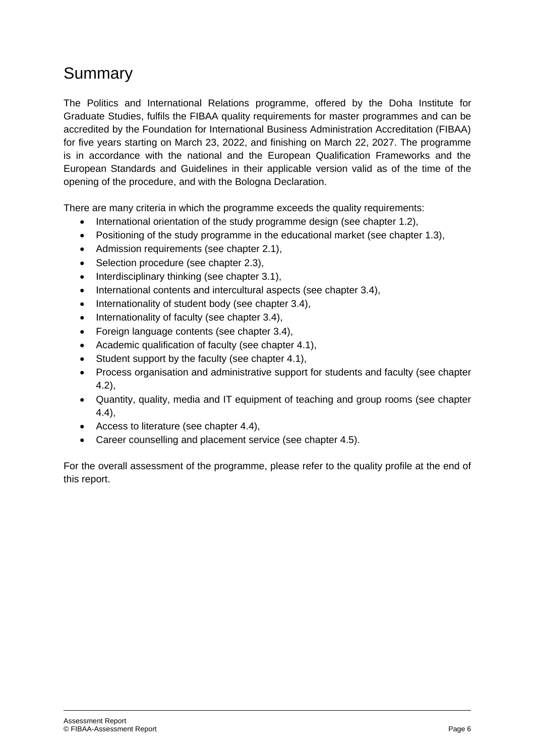# Summary

The Politics and International Relations programme, offered by the Doha Institute for Graduate Studies, fulfils the FIBAA quality requirements for master programmes and can be accredited by the Foundation for International Business Administration Accreditation (FIBAA) for five years starting on March 23, 2022, and finishing on March 22, 2027. The programme is in accordance with the national and the European Qualification Frameworks and the European Standards and Guidelines in their applicable version valid as of the time of the opening of the procedure, and with the Bologna Declaration.

There are many criteria in which the programme exceeds the quality requirements:

- International orientation of the study programme design (see chapter 1.2),
- Positioning of the study programme in the educational market (see chapter 1.3),
- Admission requirements (see chapter 2.1),
- Selection procedure (see chapter 2.3),
- Interdisciplinary thinking (see chapter 3.1),
- International contents and intercultural aspects (see chapter 3.4),
- Internationality of student body (see chapter 3.4),
- $\bullet$  Internationality of faculty (see chapter 3.4),
- Foreign language contents (see chapter 3.4),
- Academic qualification of faculty (see chapter 4.1),
- Student support by the faculty (see chapter 4.1),
- Process organisation and administrative support for students and faculty (see chapter 4.2),
- Quantity, quality, media and IT equipment of teaching and group rooms (see chapter 4.4),
- Access to literature (see chapter 4.4),
- Career counselling and placement service (see chapter 4.5).

For the overall assessment of the programme, please refer to the quality profile at the end of this report.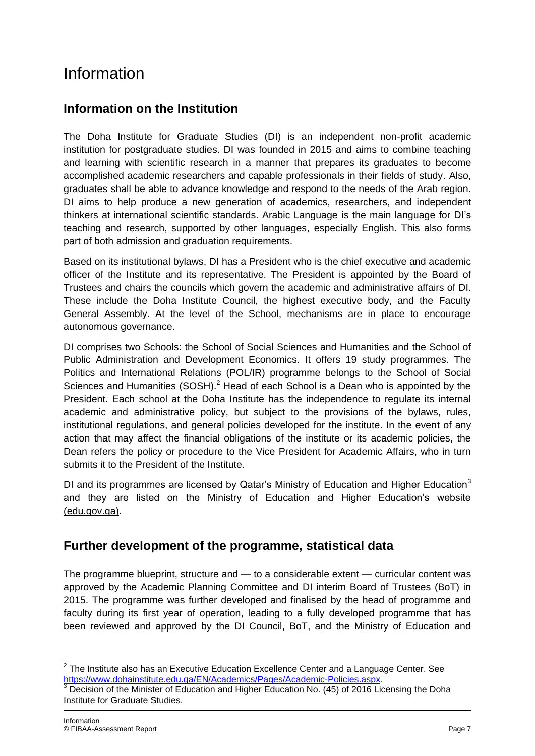# Information

### **Information on the Institution**

The Doha Institute for Graduate Studies (DI) is an independent non-profit academic institution for postgraduate studies. DI was founded in 2015 and aims to combine teaching and learning with scientific research in a manner that prepares its graduates to become accomplished academic researchers and capable professionals in their fields of study. Also, graduates shall be able to advance knowledge and respond to the needs of the Arab region. DI aims to help produce a new generation of academics, researchers, and independent thinkers at international scientific standards. Arabic Language is the main language for DI's teaching and research, supported by other languages, especially English. This also forms part of both admission and graduation requirements.

Based on its institutional bylaws, DI has a President who is the chief executive and academic officer of the Institute and its representative. The President is appointed by the Board of Trustees and chairs the councils which govern the academic and administrative affairs of DI. These include the Doha Institute Council, the highest executive body, and the Faculty General Assembly. At the level of the School, mechanisms are in place to encourage autonomous governance.

DI comprises two Schools: the School of Social Sciences and Humanities and the School of Public Administration and Development Economics. It offers 19 study programmes. The Politics and International Relations (POL/IR) programme belongs to the School of Social Sciences and Humanities  $(SASH)<sup>2</sup>$  Head of each School is a Dean who is appointed by the President. Each school at the Doha Institute has the independence to regulate its internal academic and administrative policy, but subject to the provisions of the bylaws, rules, institutional regulations, and general policies developed for the institute. In the event of any action that may affect the financial obligations of the institute or its academic policies, the Dean refers the policy or procedure to the Vice President for Academic Affairs, who in turn submits it to the President of the Institute.

DI and its programmes are licensed by Qatar's Ministry of Education and Higher Education<sup>3</sup> and they are listed on the Ministry of Education and Higher Education's website [\(edu.gov.qa\).](https://www.edu.gov.qa/ar/Pages/higheredudefault.aspx?ItemID=134)

### **Further development of the programme, statistical data**

The programme blueprint, structure and — to a considerable extent — curricular content was approved by the Academic Planning Committee and DI interim Board of Trustees (BoT) in 2015. The programme was further developed and finalised by the head of programme and faculty during its first year of operation, leading to a fully developed programme that has been reviewed and approved by the DI Council, BoT, and the Ministry of Education and

 $\overline{\phantom{a}}$  $2$  The Institute also has an Executive Education Excellence Center and a Language Center. See [https://www.dohainstitute.edu.qa/EN/Academics/Pages/Academic-Policies.aspx.](https://www.dohainstitute.edu.qa/EN/Academics/Pages/Academic-Policies.aspx)

Decision of the Minister of Education and Higher Education No. (45) of 2016 Licensing the Doha Institute for Graduate Studies.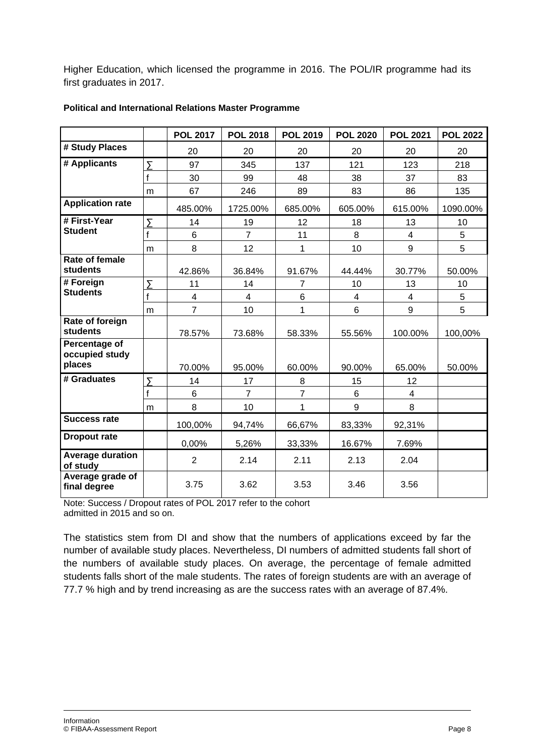Higher Education, which licensed the programme in 2016. The POL/IR programme had its first graduates in 2017.

|                                                  |                | <b>POL 2017</b>          | <b>POL 2018</b> | <b>POL 2019</b> | <b>POL 2020</b> | <b>POL 2021</b>         | <b>POL 2022</b> |
|--------------------------------------------------|----------------|--------------------------|-----------------|-----------------|-----------------|-------------------------|-----------------|
| # Study Places                                   |                | 20                       | 20              | 20              | 20              | 20                      | 20              |
| # Applicants                                     | Σ              | 97                       | 345             | 137             | 121             | 123                     | 218             |
|                                                  |                | 30                       | 99              | 48              | 38              | 37                      | 83              |
|                                                  | m              | 67                       | 246             | 89              | 83              | 86                      | 135             |
| <b>Application rate</b>                          |                | 485.00%                  | 1725.00%        | 685.00%         | 605.00%         | 615.00%                 | 1090.00%        |
| # First-Year                                     | Σ              | 14                       | 19              | 12              | 18              | 13                      | 10              |
| <b>Student</b>                                   | f              | 6                        | $\overline{7}$  | 11              | 8               | 4                       | 5               |
|                                                  | m              | 8                        | 12              | 1               | 10              | 9                       | 5               |
| Rate of female<br><b>students</b>                |                | 42.86%                   | 36.84%          | 91.67%          | 44.44%          | 30.77%                  | 50.00%          |
| # Foreign                                        | $\overline{y}$ | 11                       | 14              | $\overline{7}$  | 10              | 13                      | 10              |
| <b>Students</b>                                  |                | $\overline{\mathcal{A}}$ | $\overline{4}$  | 6               | 4               | 4                       | 5               |
|                                                  | m              | $\overline{7}$           | 10              | 1               | 6               | 9                       | 5               |
| Rate of foreign<br><b>students</b>               |                | 78.57%                   | 73.68%          | 58.33%          | 55.56%          | 100.00%                 | 100,00%         |
| <b>Percentage of</b><br>occupied study<br>places |                | 70.00%                   | 95.00%          | 60.00%          | 90.00%          | 65.00%                  | 50.00%          |
| # Graduates                                      | Σ              | 14                       | 17              | 8               | 15              | 12                      |                 |
|                                                  | f              | 6                        | $\overline{7}$  | $\overline{7}$  | 6               | $\overline{\mathbf{4}}$ |                 |
|                                                  | m              | 8                        | 10              | 1               | 9               | 8                       |                 |
| <b>Success rate</b>                              |                | 100,00%                  | 94,74%          | 66,67%          | 83,33%          | 92,31%                  |                 |
| <b>Dropout rate</b>                              |                | 0,00%                    | 5,26%           | 33,33%          | 16.67%          | 7.69%                   |                 |
| <b>Average duration</b><br>of study              |                | $\overline{2}$           | 2.14            | 2.11            | 2.13            | 2.04                    |                 |
| Average grade of<br>final degree                 |                | 3.75                     | 3.62            | 3.53            | 3.46            | 3.56                    |                 |

#### **Political and International Relations Master Programme**

Note: Success / Dropout rates of POL 2017 refer to the cohort admitted in 2015 and so on.

The statistics stem from DI and show that the numbers of applications exceed by far the number of available study places. Nevertheless, DI numbers of admitted students fall short of the numbers of available study places. On average, the percentage of female admitted students falls short of the male students. The rates of foreign students are with an average of 77.7 % high and by trend increasing as are the success rates with an average of 87.4%.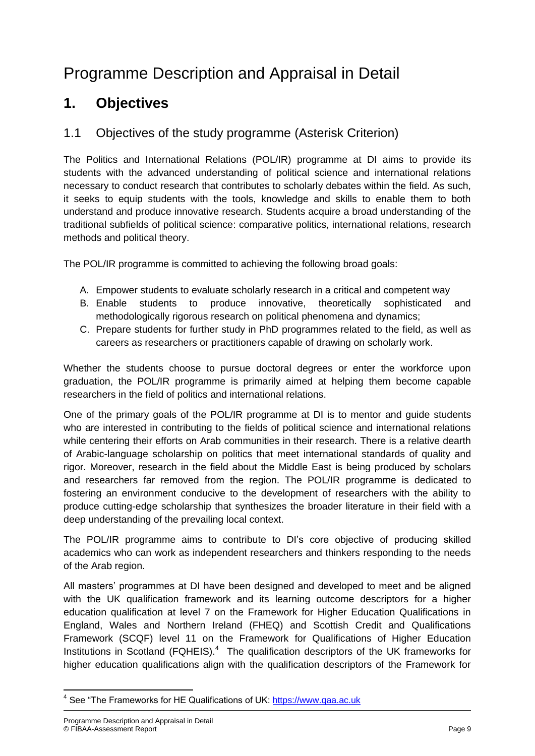# Programme Description and Appraisal in Detail

## **1. Objectives**

### 1.1 Objectives of the study programme (Asterisk Criterion)

The Politics and International Relations (POL/IR) programme at DI aims to provide its students with the advanced understanding of political science and international relations necessary to conduct research that contributes to scholarly debates within the field. As such, it seeks to equip students with the tools, knowledge and skills to enable them to both understand and produce innovative research. Students acquire a broad understanding of the traditional subfields of political science: comparative politics, international relations, research methods and political theory.

The POL/IR programme is committed to achieving the following broad goals:

- A. Empower students to evaluate scholarly research in a critical and competent way
- B. Enable students to produce innovative, theoretically sophisticated and methodologically rigorous research on political phenomena and dynamics;
- C. Prepare students for further study in PhD programmes related to the field, as well as careers as researchers or practitioners capable of drawing on scholarly work.

Whether the students choose to pursue doctoral degrees or enter the workforce upon graduation, the POL/IR programme is primarily aimed at helping them become capable researchers in the field of politics and international relations.

One of the primary goals of the POL/IR programme at DI is to mentor and guide students who are interested in contributing to the fields of political science and international relations while centering their efforts on Arab communities in their research. There is a relative dearth of Arabic-language scholarship on politics that meet international standards of quality and rigor. Moreover, research in the field about the Middle East is being produced by scholars and researchers far removed from the region. The POL/IR programme is dedicated to fostering an environment conducive to the development of researchers with the ability to produce cutting-edge scholarship that synthesizes the broader literature in their field with a deep understanding of the prevailing local context.

The POL/IR programme aims to contribute to DI's core objective of producing skilled academics who can work as independent researchers and thinkers responding to the needs of the Arab region.

All masters' programmes at DI have been designed and developed to meet and be aligned with the UK qualification framework and its learning outcome descriptors for a higher education qualification at level 7 on the Framework for Higher Education Qualifications in England, Wales and Northern Ireland (FHEQ) and Scottish Credit and Qualifications Framework (SCQF) level 11 on the Framework for Qualifications of Higher Education Institutions in Scotland (FQHEIS).<sup>4</sup> The qualification descriptors of the UK frameworks for higher education qualifications align with the qualification descriptors of the Framework for

**<sup>.</sup>** <sup>4</sup> See "The Frameworks for HE Qualifications of UK: [https://www.qaa.ac.uk](https://www.qaa.ac.uk/)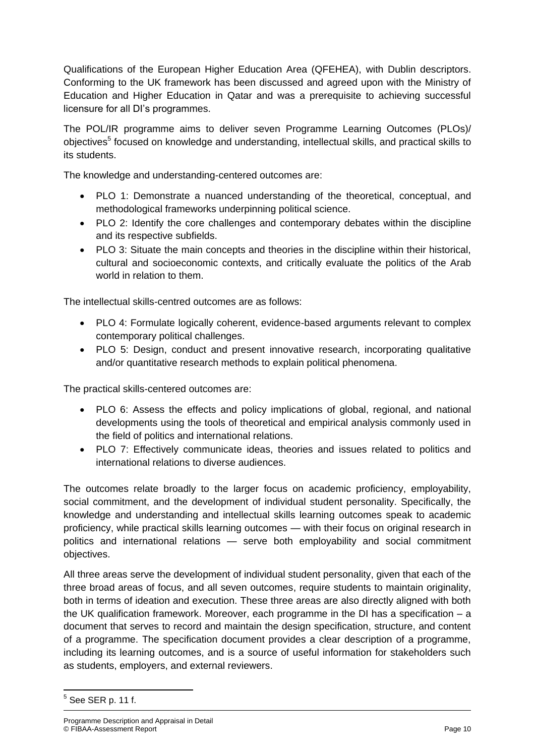Qualifications of the European Higher Education Area (QFEHEA), with Dublin descriptors. Conforming to the UK framework has been discussed and agreed upon with the Ministry of Education and Higher Education in Qatar and was a prerequisite to achieving successful licensure for all DI's programmes.

The POL/IR programme aims to deliver seven Programme Learning Outcomes (PLOs)/ objectives<sup>5</sup> focused on knowledge and understanding, intellectual skills, and practical skills to its students.

The knowledge and understanding-centered outcomes are:

- PLO 1: Demonstrate a nuanced understanding of the theoretical, conceptual, and methodological frameworks underpinning political science.
- PLO 2: Identify the core challenges and contemporary debates within the discipline and its respective subfields.
- PLO 3: Situate the main concepts and theories in the discipline within their historical, cultural and socioeconomic contexts, and critically evaluate the politics of the Arab world in relation to them.

The intellectual skills-centred outcomes are as follows:

- PLO 4: Formulate logically coherent, evidence-based arguments relevant to complex contemporary political challenges.
- PLO 5: Design, conduct and present innovative research, incorporating qualitative and/or quantitative research methods to explain political phenomena.

The practical skills-centered outcomes are:

- PLO 6: Assess the effects and policy implications of global, regional, and national developments using the tools of theoretical and empirical analysis commonly used in the field of politics and international relations.
- PLO 7: Effectively communicate ideas, theories and issues related to politics and international relations to diverse audiences.

The outcomes relate broadly to the larger focus on academic proficiency, employability, social commitment, and the development of individual student personality. Specifically, the knowledge and understanding and intellectual skills learning outcomes speak to academic proficiency, while practical skills learning outcomes — with their focus on original research in politics and international relations — serve both employability and social commitment objectives.

All three areas serve the development of individual student personality, given that each of the three broad areas of focus, and all seven outcomes, require students to maintain originality, both in terms of ideation and execution. These three areas are also directly aligned with both the UK qualification framework. Moreover, each programme in the DI has a specification – a document that serves to record and maintain the design specification, structure, and content of a programme. The specification document provides a clear description of a programme, including its learning outcomes, and is a source of useful information for stakeholders such as students, employers, and external reviewers.

 $5$  See SER p. 11 f.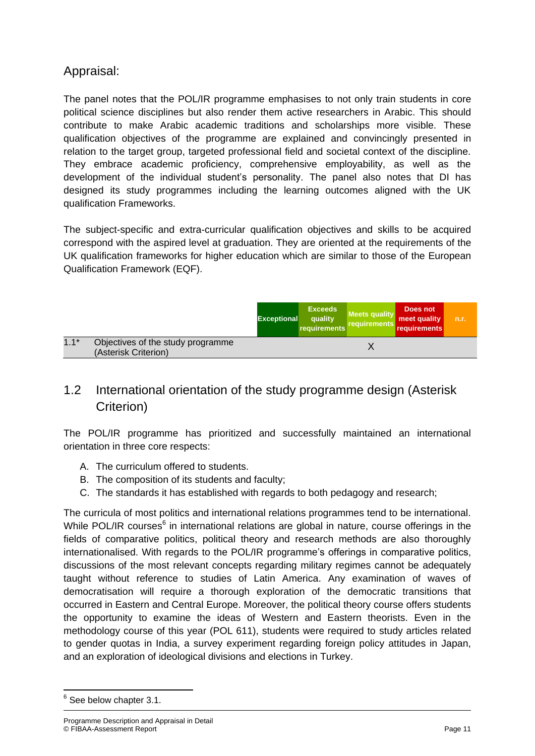## Appraisal:

The panel notes that the POL/IR programme emphasises to not only train students in core political science disciplines but also render them active researchers in Arabic. This should contribute to make Arabic academic traditions and scholarships more visible. These qualification objectives of the programme are explained and convincingly presented in relation to the target group, targeted professional field and societal context of the discipline. They embrace academic proficiency, comprehensive employability, as well as the development of the individual student's personality. The panel also notes that DI has designed its study programmes including the learning outcomes aligned with the UK qualification Frameworks.

The subject-specific and extra-curricular qualification objectives and skills to be acquired correspond with the aspired level at graduation. They are oriented at the requirements of the UK qualification frameworks for higher education which are similar to those of the European Qualification Framework (EQF).

|        |                                                           | <b>Exceptional</b> | <b>Exceeds</b><br>quality<br>requirements | <b>Meets quality</b><br><b>requirements</b> | Does not<br>meet quality<br>requirements | n.r. |
|--------|-----------------------------------------------------------|--------------------|-------------------------------------------|---------------------------------------------|------------------------------------------|------|
| $1.1*$ | Objectives of the study programme<br>(Asterisk Criterion) |                    |                                           |                                             |                                          |      |

## 1.2 International orientation of the study programme design (Asterisk Criterion)

The POL/IR programme has prioritized and successfully maintained an international orientation in three core respects:

- A. The curriculum offered to students.
- B. The composition of its students and faculty;
- C. The standards it has established with regards to both pedagogy and research;

The curricula of most politics and international relations programmes tend to be international. While POL/IR courses<sup>6</sup> in international relations are global in nature, course offerings in the fields of comparative politics, political theory and research methods are also thoroughly internationalised. With regards to the POL/IR programme's offerings in comparative politics, discussions of the most relevant concepts regarding military regimes cannot be adequately taught without reference to studies of Latin America. Any examination of waves of democratisation will require a thorough exploration of the democratic transitions that occurred in Eastern and Central Europe. Moreover, the political theory course offers students the opportunity to examine the ideas of Western and Eastern theorists. Even in the methodology course of this year (POL 611), students were required to study articles related to gender quotas in India, a survey experiment regarding foreign policy attitudes in Japan, and an exploration of ideological divisions and elections in Turkey.

<sup>&</sup>lt;sup>6</sup> See below chapter 3.1.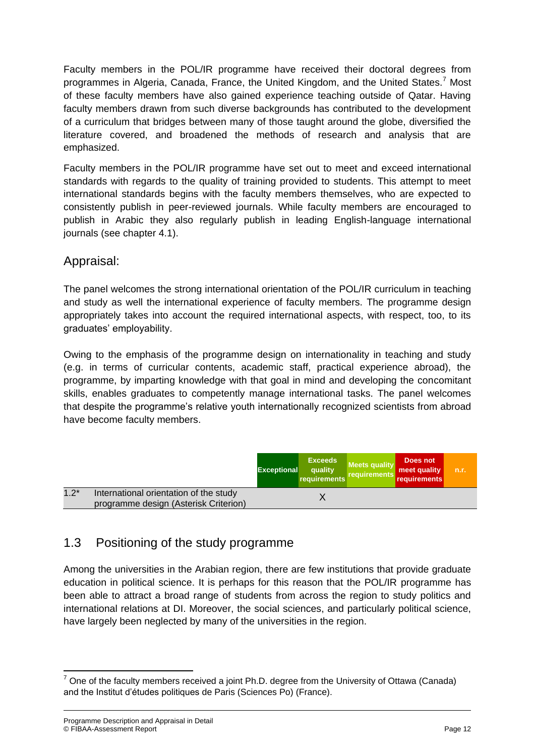Faculty members in the POL/IR programme have received their doctoral degrees from programmes in Algeria, Canada, France, the United Kingdom, and the United States.<sup>7</sup> Most of these faculty members have also gained experience teaching outside of Qatar. Having faculty members drawn from such diverse backgrounds has contributed to the development of a curriculum that bridges between many of those taught around the globe, diversified the literature covered, and broadened the methods of research and analysis that are emphasized.

Faculty members in the POL/IR programme have set out to meet and exceed international standards with regards to the quality of training provided to students. This attempt to meet international standards begins with the faculty members themselves, who are expected to consistently publish in peer-reviewed journals. While faculty members are encouraged to publish in Arabic they also regularly publish in leading English-language international journals (see chapter 4.1).

#### Appraisal:

The panel welcomes the strong international orientation of the POL/IR curriculum in teaching and study as well the international experience of faculty members. The programme design appropriately takes into account the required international aspects, with respect, too, to its graduates' employability.

Owing to the emphasis of the programme design on internationality in teaching and study (e.g. in terms of curricular contents, academic staff, practical experience abroad), the programme, by imparting knowledge with that goal in mind and developing the concomitant skills, enables graduates to competently manage international tasks. The panel welcomes that despite the programme's relative youth internationally recognized scientists from abroad have become faculty members.

|        |                                                                                 | <b>Exceptional</b> | <b>Exceeds</b><br>quality<br>requirements | <b>Meets quality</b><br>requirements | Does not<br>meet quality<br>requirements | n.r. |
|--------|---------------------------------------------------------------------------------|--------------------|-------------------------------------------|--------------------------------------|------------------------------------------|------|
| $1.2*$ | International orientation of the study<br>programme design (Asterisk Criterion) |                    |                                           |                                      |                                          |      |

## 1.3 Positioning of the study programme

Among the universities in the Arabian region, there are few institutions that provide graduate education in political science. It is perhaps for this reason that the POL/IR programme has been able to attract a broad range of students from across the region to study politics and international relations at DI. Moreover, the social sciences, and particularly political science, have largely been neglected by many of the universities in the region.

 $7$  One of the faculty members received a joint Ph.D. degree from the University of Ottawa (Canada) and the Institut d'études politiques de Paris (Sciences Po) (France).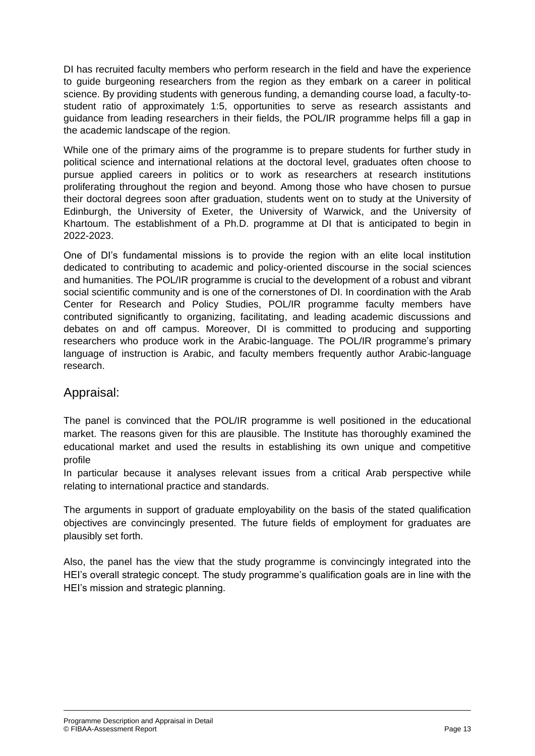DI has recruited faculty members who perform research in the field and have the experience to guide burgeoning researchers from the region as they embark on a career in political science. By providing students with generous funding, a demanding course load, a faculty-tostudent ratio of approximately 1:5, opportunities to serve as research assistants and guidance from leading researchers in their fields, the POL/IR programme helps fill a gap in the academic landscape of the region.

While one of the primary aims of the programme is to prepare students for further study in political science and international relations at the doctoral level, graduates often choose to pursue applied careers in politics or to work as researchers at research institutions proliferating throughout the region and beyond. Among those who have chosen to pursue their doctoral degrees soon after graduation, students went on to study at the University of Edinburgh, the University of Exeter, the University of Warwick, and the University of Khartoum. The establishment of a Ph.D. programme at DI that is anticipated to begin in 2022-2023.

One of DI's fundamental missions is to provide the region with an elite local institution dedicated to contributing to academic and policy-oriented discourse in the social sciences and humanities. The POL/IR programme is crucial to the development of a robust and vibrant social scientific community and is one of the cornerstones of DI. In coordination with the Arab Center for Research and Policy Studies, POL/IR programme faculty members have contributed significantly to organizing, facilitating, and leading academic discussions and debates on and off campus. Moreover, DI is committed to producing and supporting researchers who produce work in the Arabic-language. The POL/IR programme's primary language of instruction is Arabic, and faculty members frequently author Arabic-language research.

#### Appraisal:

The panel is convinced that the POL/IR programme is well positioned in the educational market. The reasons given for this are plausible. The Institute has thoroughly examined the educational market and used the results in establishing its own unique and competitive profile

In particular because it analyses relevant issues from a critical Arab perspective while relating to international practice and standards.

The arguments in support of graduate employability on the basis of the stated qualification objectives are convincingly presented. The future fields of employment for graduates are plausibly set forth.

Also, the panel has the view that the study programme is convincingly integrated into the HEI's overall strategic concept. The study programme's qualification goals are in line with the HEI's mission and strategic planning.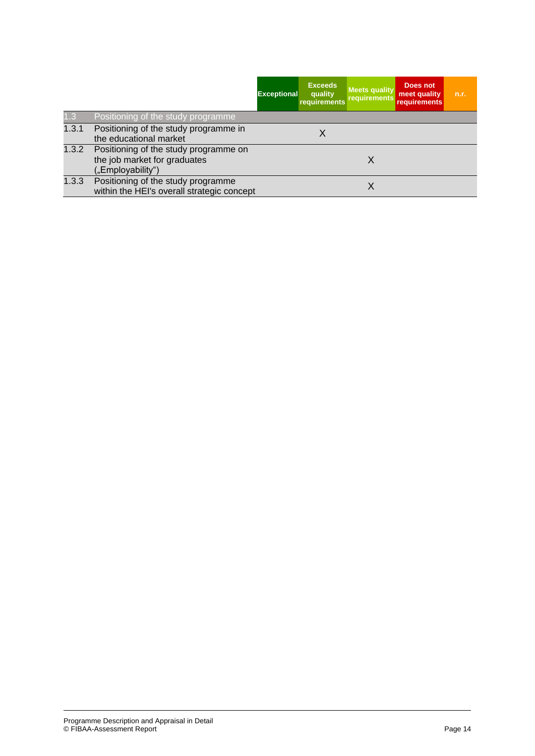|       |                                                                                            | <b>Exceptional</b> | <b>Exceeds</b><br>quality<br>requirements | <b>Meets quality</b><br>requirements | Does not<br>meet quality<br><b>requirements</b> | n.r. |
|-------|--------------------------------------------------------------------------------------------|--------------------|-------------------------------------------|--------------------------------------|-------------------------------------------------|------|
| 1.3   | Positioning of the study programme                                                         |                    |                                           |                                      |                                                 |      |
| 1.3.1 | Positioning of the study programme in<br>the educational market                            |                    | Х                                         |                                      |                                                 |      |
| 1.3.2 | Positioning of the study programme on<br>the job market for graduates<br>("Employability") |                    |                                           | X                                    |                                                 |      |
| 1.3.3 | Positioning of the study programme<br>within the HEI's overall strategic concept           |                    |                                           |                                      |                                                 |      |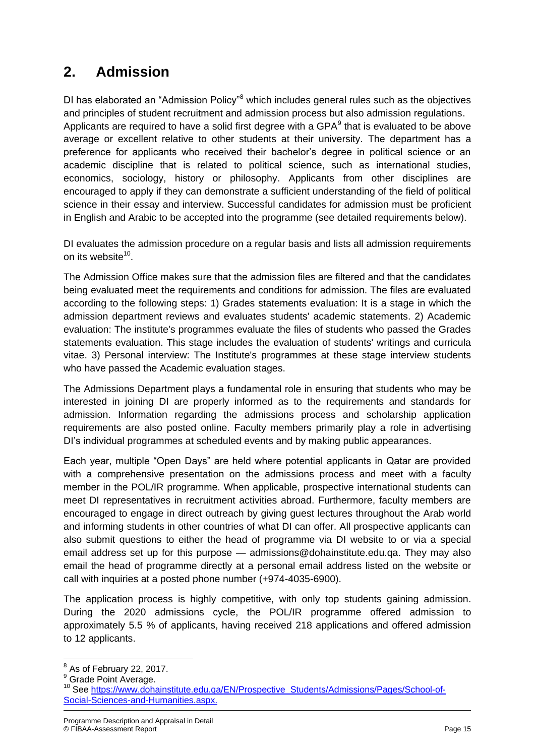## **2. Admission**

DI has elaborated an "Admission Policy"<sup>8</sup> which includes general rules such as the objectives and principles of student recruitment and admission process but also admission regulations. Applicants are required to have a solid first degree with a GPA $<sup>9</sup>$  that is evaluated to be above</sup> average or excellent relative to other students at their university. The department has a preference for applicants who received their bachelor's degree in political science or an academic discipline that is related to political science, such as international studies, economics, sociology, history or philosophy. Applicants from other disciplines are encouraged to apply if they can demonstrate a sufficient understanding of the field of political science in their essay and interview. Successful candidates for admission must be proficient in English and Arabic to be accepted into the programme (see detailed requirements below).

DI evaluates the admission procedure on a regular basis and lists all admission requirements on its website<sup>10</sup>.

The Admission Office makes sure that the admission files are filtered and that the candidates being evaluated meet the requirements and conditions for admission. The files are evaluated according to the following steps: 1) Grades statements evaluation: It is a stage in which the admission department reviews and evaluates students' academic statements. 2) Academic evaluation: The institute's programmes evaluate the files of students who passed the Grades statements evaluation. This stage includes the evaluation of students' writings and curricula vitae. 3) Personal interview: The Institute's programmes at these stage interview students who have passed the Academic evaluation stages.

The Admissions Department plays a fundamental role in ensuring that students who may be interested in joining DI are properly informed as to the requirements and standards for admission. Information regarding the admissions process and scholarship application requirements are also posted online. Faculty members primarily play a role in advertising DI's individual programmes at scheduled events and by making public appearances.

Each year, multiple "Open Days" are held where potential applicants in Qatar are provided with a comprehensive presentation on the admissions process and meet with a faculty member in the POL/IR programme. When applicable, prospective international students can meet DI representatives in recruitment activities abroad. Furthermore, faculty members are encouraged to engage in direct outreach by giving guest lectures throughout the Arab world and informing students in other countries of what DI can offer. All prospective applicants can also submit questions to either the head of programme via DI website to or via a special email address set up for this purpose — admissions@dohainstitute.edu.qa. They may also email the head of programme directly at a personal email address listed on the website or call with inquiries at a posted phone number (+974-4035-6900).

The application process is highly competitive, with only top students gaining admission. During the 2020 admissions cycle, the POL/IR programme offered admission to approximately 5.5 % of applicants, having received 218 applications and offered admission to 12 applicants.

 $\overline{\phantom{a}}$ 

 $8$  As of February 22, 2017.

<sup>&</sup>lt;sup>9</sup> Grade Point Average.

<sup>10</sup> See [https://www.dohainstitute.edu.qa/EN/Prospective\\_Students/Admissions/Pages/School-of-](https://www.dohainstitute.edu.qa/EN/Prospective_Students/Admissions/Pages/School-of-Social-Sciences-and-Humanities.aspx)[Social-Sciences-and-Humanities.aspx.](https://www.dohainstitute.edu.qa/EN/Prospective_Students/Admissions/Pages/School-of-Social-Sciences-and-Humanities.aspx)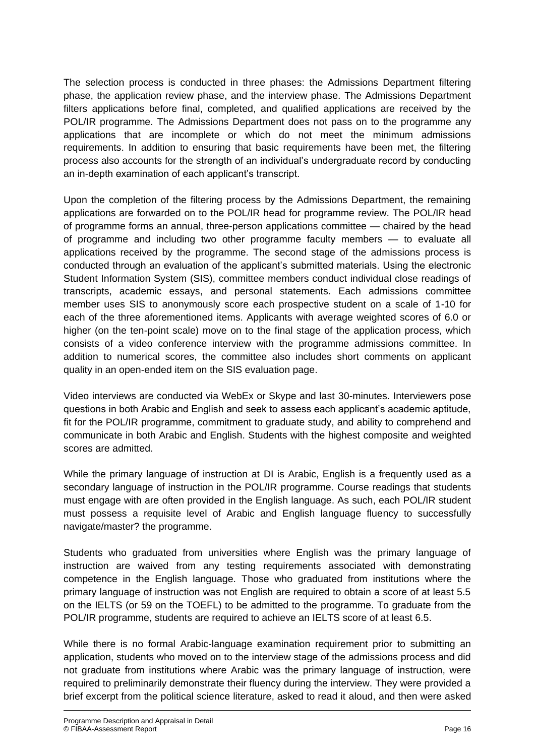The selection process is conducted in three phases: the Admissions Department filtering phase, the application review phase, and the interview phase. The Admissions Department filters applications before final, completed, and qualified applications are received by the POL/IR programme. The Admissions Department does not pass on to the programme any applications that are incomplete or which do not meet the minimum admissions requirements. In addition to ensuring that basic requirements have been met, the filtering process also accounts for the strength of an individual's undergraduate record by conducting an in-depth examination of each applicant's transcript.

Upon the completion of the filtering process by the Admissions Department, the remaining applications are forwarded on to the POL/IR head for programme review. The POL/IR head of programme forms an annual, three-person applications committee — chaired by the head of programme and including two other programme faculty members — to evaluate all applications received by the programme. The second stage of the admissions process is conducted through an evaluation of the applicant's submitted materials. Using the electronic Student Information System (SIS), committee members conduct individual close readings of transcripts, academic essays, and personal statements. Each admissions committee member uses SIS to anonymously score each prospective student on a scale of 1-10 for each of the three aforementioned items. Applicants with average weighted scores of 6.0 or higher (on the ten-point scale) move on to the final stage of the application process, which consists of a video conference interview with the programme admissions committee. In addition to numerical scores, the committee also includes short comments on applicant quality in an open-ended item on the SIS evaluation page.

Video interviews are conducted via WebEx or Skype and last 30-minutes. Interviewers pose questions in both Arabic and English and seek to assess each applicant's academic aptitude, fit for the POL/IR programme, commitment to graduate study, and ability to comprehend and communicate in both Arabic and English. Students with the highest composite and weighted scores are admitted.

While the primary language of instruction at DI is Arabic, English is a frequently used as a secondary language of instruction in the POL/IR programme. Course readings that students must engage with are often provided in the English language. As such, each POL/IR student must possess a requisite level of Arabic and English language fluency to successfully navigate/master? the programme.

Students who graduated from universities where English was the primary language of instruction are waived from any testing requirements associated with demonstrating competence in the English language. Those who graduated from institutions where the primary language of instruction was not English are required to obtain a score of at least 5.5 on the IELTS (or 59 on the TOEFL) to be admitted to the programme. To graduate from the POL/IR programme, students are required to achieve an IELTS score of at least 6.5.

While there is no formal Arabic-language examination requirement prior to submitting an application, students who moved on to the interview stage of the admissions process and did not graduate from institutions where Arabic was the primary language of instruction, were required to preliminarily demonstrate their fluency during the interview. They were provided a brief excerpt from the political science literature, asked to read it aloud, and then were asked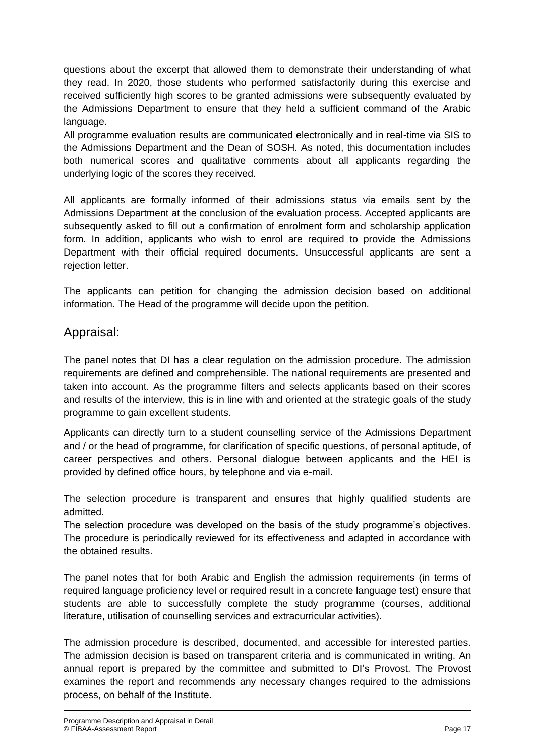questions about the excerpt that allowed them to demonstrate their understanding of what they read. In 2020, those students who performed satisfactorily during this exercise and received sufficiently high scores to be granted admissions were subsequently evaluated by the Admissions Department to ensure that they held a sufficient command of the Arabic language.

All programme evaluation results are communicated electronically and in real-time via SIS to the Admissions Department and the Dean of SOSH. As noted, this documentation includes both numerical scores and qualitative comments about all applicants regarding the underlying logic of the scores they received.

All applicants are formally informed of their admissions status via emails sent by the Admissions Department at the conclusion of the evaluation process. Accepted applicants are subsequently asked to fill out a confirmation of enrolment form and scholarship application form. In addition, applicants who wish to enrol are required to provide the Admissions Department with their official required documents. Unsuccessful applicants are sent a rejection letter.

The applicants can petition for changing the admission decision based on additional information. The Head of the programme will decide upon the petition.

#### Appraisal:

The panel notes that DI has a clear regulation on the admission procedure. The admission requirements are defined and comprehensible. The national requirements are presented and taken into account. As the programme filters and selects applicants based on their scores and results of the interview, this is in line with and oriented at the strategic goals of the study programme to gain excellent students.

Applicants can directly turn to a student counselling service of the Admissions Department and / or the head of programme, for clarification of specific questions, of personal aptitude, of career perspectives and others. Personal dialogue between applicants and the HEI is provided by defined office hours, by telephone and via e-mail.

The selection procedure is transparent and ensures that highly qualified students are admitted.

The selection procedure was developed on the basis of the study programme's objectives. The procedure is periodically reviewed for its effectiveness and adapted in accordance with the obtained results.

The panel notes that for both Arabic and English the admission requirements (in terms of required language proficiency level or required result in a concrete language test) ensure that students are able to successfully complete the study programme (courses, additional literature, utilisation of counselling services and extracurricular activities).

The admission procedure is described, documented, and accessible for interested parties. The admission decision is based on transparent criteria and is communicated in writing. An annual report is prepared by the committee and submitted to DI's Provost. The Provost examines the report and recommends any necessary changes required to the admissions process, on behalf of the Institute.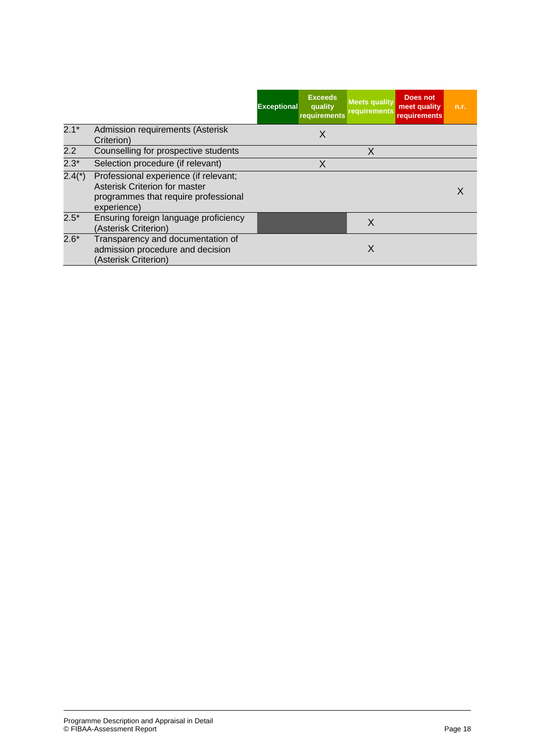|          |                                                                                                                               | <b>Exceptional</b> | <b>Exceeds</b><br>quality<br>requirements | <b>Meets quality</b><br>requirements | Does not<br>meet quality<br>requirements | n.r. |
|----------|-------------------------------------------------------------------------------------------------------------------------------|--------------------|-------------------------------------------|--------------------------------------|------------------------------------------|------|
| $2.1*$   | Admission requirements (Asterisk<br>Criterion)                                                                                |                    | Χ                                         |                                      |                                          |      |
| 2.2      | Counselling for prospective students                                                                                          |                    |                                           | X                                    |                                          |      |
| $2.3*$   | Selection procedure (if relevant)                                                                                             |                    | X                                         |                                      |                                          |      |
| $2.4(*)$ | Professional experience (if relevant;<br>Asterisk Criterion for master<br>programmes that require professional<br>experience) |                    |                                           |                                      |                                          |      |
| $2.5*$   | Ensuring foreign language proficiency<br>(Asterisk Criterion)                                                                 |                    |                                           | X                                    |                                          |      |
| $2.6*$   | Transparency and documentation of<br>admission procedure and decision<br>(Asterisk Criterion)                                 |                    |                                           | X                                    |                                          |      |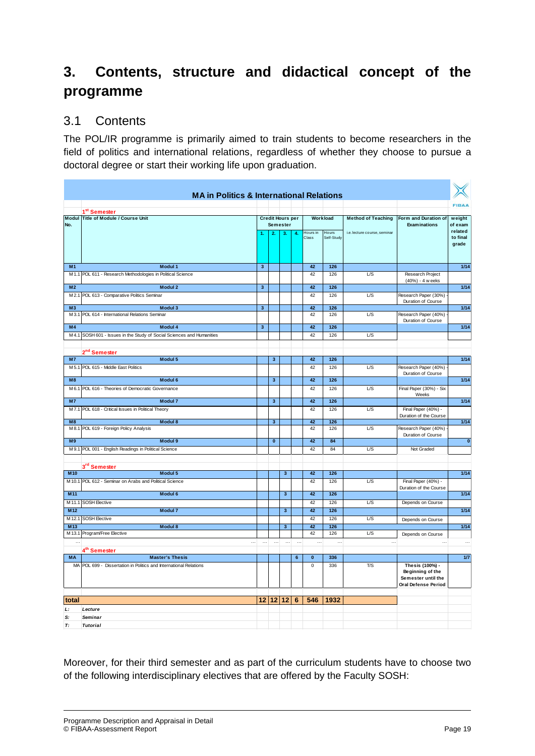## **3. Contents, structure and didactical concept of the programme**

#### 3.1 Contents

The POL/IR programme is primarily aimed to train students to become researchers in the field of politics and international relations, regardless of whether they choose to pursue a doctoral degree or start their working life upon graduation.

|                | <b>MA in Politics &amp; International Relations</b>              |                         |                         |                         |          |           |            |                              |                                            |                         |
|----------------|------------------------------------------------------------------|-------------------------|-------------------------|-------------------------|----------|-----------|------------|------------------------------|--------------------------------------------|-------------------------|
|                |                                                                  |                         |                         |                         |          |           |            |                              |                                            | <b>FIBAA</b>            |
|                | 1 <sup>st</sup> Semester<br>Modul Title of Module / Course Unit  |                         |                         | <b>Credit Hours per</b> |          |           | Workload   | <b>Method of Teaching</b>    | Form and Duration of                       |                         |
| No.            |                                                                  |                         |                         | <b>Semester</b>         |          |           |            |                              | <b>Examinations</b>                        | weight<br>of exam       |
|                |                                                                  |                         | $\overline{2}$          | 3.                      | 4.       | Hours in  | Hours      | i.e. lecture course, seminar |                                            | related                 |
|                |                                                                  |                         |                         |                         |          | Class     | Self-Study |                              |                                            | to final                |
|                |                                                                  |                         |                         |                         |          |           |            |                              |                                            | grade                   |
|                |                                                                  |                         |                         |                         |          |           |            |                              |                                            |                         |
| M1             | Modul 1                                                          | $\overline{\mathbf{3}}$ |                         |                         |          | 42        | 126        |                              |                                            | 1/14                    |
|                | M 1.1 POL 611 - Research Methodologies in Political Science      |                         |                         |                         |          | 42        | 126        | L/S                          | Research Project                           |                         |
|                |                                                                  |                         |                         |                         |          |           |            |                              | (40%) - 4 weeks                            |                         |
| M <sub>2</sub> | Modul 2                                                          | $\mathbf{3}$            |                         |                         |          | 42        | 126        |                              |                                            | 1/14                    |
| M2.1           | POL 613 - Comparative Politics Seminar                           |                         |                         |                         |          | 42        | 126        | L/S                          | Research Paper (30%)<br>Duration of Course |                         |
| M <sub>3</sub> | Modul 3                                                          | $\overline{\mathbf{3}}$ |                         |                         |          | 42        | 126        |                              |                                            | 1/14                    |
| M3.1           | POL 614 - International Relations Seminar                        |                         |                         |                         |          | 42        | 126        | L/S                          | Research Paper (40%)                       |                         |
| M <sub>4</sub> | Modul 4                                                          | $\overline{\mathbf{3}}$ |                         |                         |          | 42        | 126        |                              | Duration of Course                         | 1/14                    |
| M4.1           | SOSH 601 - Issues in the Study of Social Sciences and Humanities |                         |                         |                         |          | 42        | 126        | L/S                          |                                            |                         |
|                |                                                                  |                         |                         |                         |          |           |            |                              |                                            |                         |
|                | 2 <sup>nd</sup> Semester                                         |                         |                         |                         |          |           |            |                              |                                            |                         |
| M <sub>7</sub> | Modul 5                                                          |                         | $\overline{\mathbf{3}}$ |                         |          | 42        | 126        |                              |                                            | $1/14$                  |
| M5.1           | POL 615 - Middle East Politics                                   |                         |                         |                         |          | 42        | 126        | L/S                          | Research Paper (40%)                       |                         |
| M8             | Modul 6                                                          |                         | 3                       |                         |          | 42        | 126        |                              | Duration of Course                         | 1/14                    |
|                | M6.1 POL 616 - Theories of Democratic Governance                 |                         |                         |                         |          | 42        | 126        | L/S                          | Final Paper (30%) - Six                    |                         |
|                |                                                                  |                         |                         |                         |          |           |            |                              | Weeks                                      |                         |
| M <sub>7</sub> | <b>Modul 7</b>                                                   |                         | $\overline{\mathbf{3}}$ |                         |          | 42        | 126        |                              |                                            | 1/14                    |
|                | M7.1 POL 618 - Critical Issues in Political Theory               |                         |                         |                         |          | 42        | 126        | L/S                          | Final Paper (40%) -                        |                         |
| M8             | Modul 8                                                          |                         | $\overline{\mathbf{3}}$ |                         |          | 42        | 126        |                              | Duration of the Course                     | $1/14$                  |
| M 8.1          | POL 619 - Foreign Policy Analysis                                |                         |                         |                         |          | 42        | 126        | L/S                          | Research Paper (40%)                       |                         |
|                |                                                                  |                         |                         |                         |          |           |            |                              | Duration of Course                         |                         |
| M9<br>M9.1     | Modul 9                                                          |                         | $\overline{\mathbf{0}}$ |                         |          | 42<br>42  | 84<br>84   | L/S                          | Not Graded                                 | $\overline{\mathbf{0}}$ |
|                | POL 001 - English Readings in Political Science                  |                         |                         |                         |          |           |            |                              |                                            |                         |
|                | 3 <sup>rd</sup> Semester                                         |                         |                         |                         |          |           |            |                              |                                            |                         |
| M10            | Modul 5                                                          |                         |                         | $\overline{\mathbf{3}}$ |          | 42        | 126        |                              |                                            | 1/14                    |
|                | M 10.1 POL 612 - Seminar on Arabs and Political Science          |                         |                         |                         |          | 42        | 126        | L/S                          | Final Paper (40%) -                        |                         |
|                |                                                                  |                         |                         |                         |          |           |            |                              | Duration of the Course                     |                         |
| M11            | Modul 6                                                          |                         |                         | 3                       |          | 42        | $126$      |                              |                                            | $1/14$                  |
| M11.1          | <b>SOSH Elective</b>                                             |                         |                         |                         |          | 42        | 126        | L/S                          | Depends on Course                          |                         |
| M12            | Modul 7                                                          |                         |                         | $\overline{\mathbf{3}}$ |          | 42        | 126        |                              |                                            | $1/14$                  |
| M12.1<br>M13   | <b>SOSH Elective</b><br>Modul 8                                  |                         |                         | $\overline{\mathbf{3}}$ |          | 42<br>42  | 126<br>126 | L/S                          | Depends on Course                          | 1/14                    |
| M13.1          | Program/Free Elective                                            |                         |                         |                         |          | 42        | 126        | L/S                          | Depends on Course                          |                         |
|                | $\cdots$                                                         | $\ldots$                | $\ldots$                | $\ldots$                | $\ldots$ | $\cdots$  | $\cdots$   | $\ldots$                     | $\ldots$                                   | $\ddots$                |
|                | 4 <sup>th</sup> Semester                                         |                         |                         |                         |          |           |            |                              |                                            |                         |
| <b>MA</b>      | <b>Master's Thesis</b>                                           |                         |                         |                         | 6        | $\bf{0}$  | 336        |                              |                                            | 1/7                     |
| MA             | POL 699 - Dissertation in Politics and International Relations   |                         |                         |                         |          | $\pmb{0}$ | 336        | T/S                          | Thesis (100%) -                            |                         |
|                |                                                                  |                         |                         |                         |          |           |            |                              | Beginning of the<br>Semester until the     |                         |
|                |                                                                  |                         |                         |                         |          |           |            |                              | Oral Defense Period                        |                         |
|                |                                                                  |                         |                         |                         |          |           |            |                              |                                            |                         |
| total          |                                                                  | 12 <sup>2</sup>         |                         | 12 12                   | 6        | 546       | 1932       |                              |                                            |                         |
| L:             | Lecture                                                          |                         |                         |                         |          |           |            |                              |                                            |                         |
| S:             | <b>Seminar</b>                                                   |                         |                         |                         |          |           |            |                              |                                            |                         |
| Т:             | <b>Tutorial</b>                                                  |                         |                         |                         |          |           |            |                              |                                            |                         |
|                |                                                                  |                         |                         |                         |          |           |            |                              |                                            |                         |

Moreover, for their third semester and as part of the curriculum students have to choose two of the following interdisciplinary electives that are offered by the Faculty SOSH: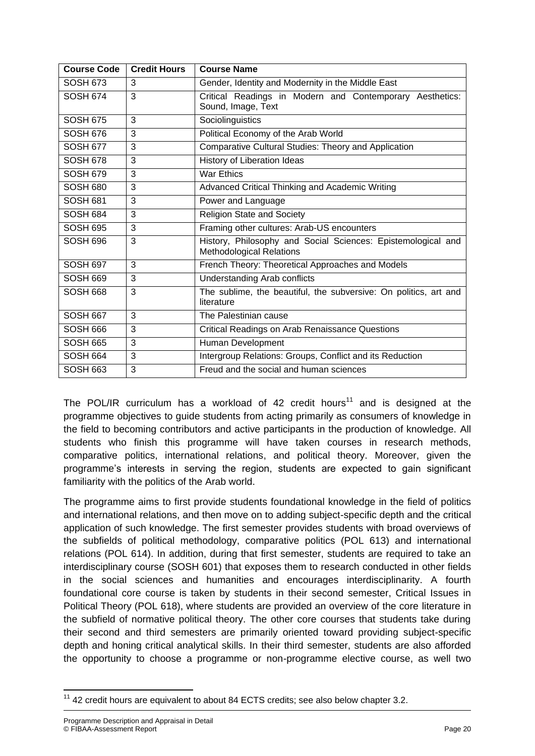| <b>Course Code</b> | <b>Credit Hours</b> | <b>Course Name</b>                                                                              |  |  |  |
|--------------------|---------------------|-------------------------------------------------------------------------------------------------|--|--|--|
| <b>SOSH 673</b>    | 3                   | Gender, Identity and Modernity in the Middle East                                               |  |  |  |
| <b>SOSH 674</b>    | 3                   | Critical Readings in Modern and Contemporary Aesthetics:<br>Sound, Image, Text                  |  |  |  |
| <b>SOSH 675</b>    | 3                   | Sociolinguistics                                                                                |  |  |  |
| <b>SOSH 676</b>    | 3                   | Political Economy of the Arab World                                                             |  |  |  |
| <b>SOSH 677</b>    | 3                   | Comparative Cultural Studies: Theory and Application                                            |  |  |  |
| <b>SOSH 678</b>    | 3                   | History of Liberation Ideas                                                                     |  |  |  |
| <b>SOSH 679</b>    | 3                   | <b>War Ethics</b>                                                                               |  |  |  |
| <b>SOSH 680</b>    | 3                   | Advanced Critical Thinking and Academic Writing                                                 |  |  |  |
| <b>SOSH 681</b>    | 3                   | Power and Language                                                                              |  |  |  |
| <b>SOSH 684</b>    | 3                   | <b>Religion State and Society</b>                                                               |  |  |  |
| <b>SOSH 695</b>    | 3                   | Framing other cultures: Arab-US encounters                                                      |  |  |  |
| SOSH 696           | 3                   | History, Philosophy and Social Sciences: Epistemological and<br><b>Methodological Relations</b> |  |  |  |
| <b>SOSH 697</b>    | 3                   | French Theory: Theoretical Approaches and Models                                                |  |  |  |
| SOSH 669           | 3                   | <b>Understanding Arab conflicts</b>                                                             |  |  |  |
| SOSH 668           | 3                   | The sublime, the beautiful, the subversive: On politics, art and<br>literature                  |  |  |  |
| <b>SOSH 667</b>    | 3                   | The Palestinian cause                                                                           |  |  |  |
| SOSH 666           | 3                   | <b>Critical Readings on Arab Renaissance Questions</b>                                          |  |  |  |
| <b>SOSH 665</b>    | 3                   | Human Development                                                                               |  |  |  |
| <b>SOSH 664</b>    | 3                   | Intergroup Relations: Groups, Conflict and its Reduction                                        |  |  |  |
| <b>SOSH 663</b>    | 3                   | Freud and the social and human sciences                                                         |  |  |  |

The POL/IR curriculum has a workload of 42 credit hours<sup>11</sup> and is designed at the programme objectives to guide students from acting primarily as consumers of knowledge in the field to becoming contributors and active participants in the production of knowledge. All students who finish this programme will have taken courses in research methods, comparative politics, international relations, and political theory. Moreover, given the programme's interests in serving the region, students are expected to gain significant familiarity with the politics of the Arab world.

The programme aims to first provide students foundational knowledge in the field of politics and international relations, and then move on to adding subject-specific depth and the critical application of such knowledge. The first semester provides students with broad overviews of the subfields of political methodology, comparative politics (POL 613) and international relations (POL 614). In addition, during that first semester, students are required to take an interdisciplinary course (SOSH 601) that exposes them to research conducted in other fields in the social sciences and humanities and encourages interdisciplinarity. A fourth foundational core course is taken by students in their second semester, Critical Issues in Political Theory (POL 618), where students are provided an overview of the core literature in the subfield of normative political theory. The other core courses that students take during their second and third semesters are primarily oriented toward providing subject-specific depth and honing critical analytical skills. In their third semester, students are also afforded the opportunity to choose a programme or non-programme elective course, as well two

**<sup>.</sup>**  $11$  42 credit hours are equivalent to about 84 ECTS credits; see also below chapter 3.2.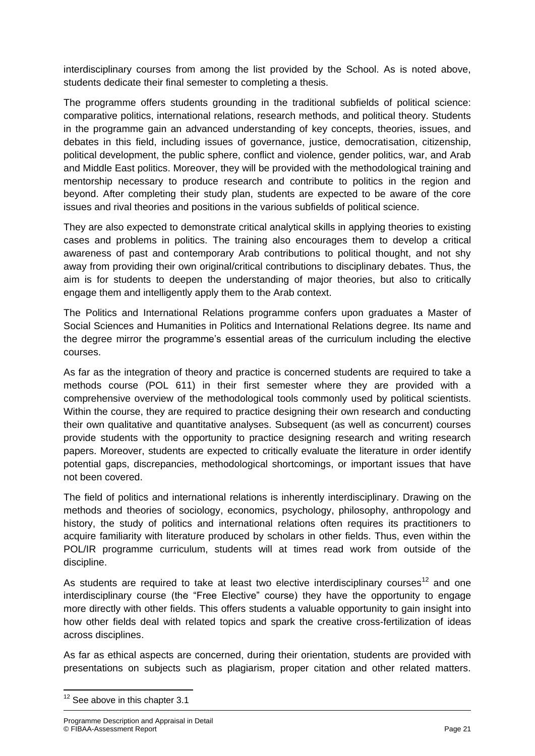interdisciplinary courses from among the list provided by the School. As is noted above, students dedicate their final semester to completing a thesis.

The programme offers students grounding in the traditional subfields of political science: comparative politics, international relations, research methods, and political theory. Students in the programme gain an advanced understanding of key concepts, theories, issues, and debates in this field, including issues of governance, justice, democratisation, citizenship, political development, the public sphere, conflict and violence, gender politics, war, and Arab and Middle East politics. Moreover, they will be provided with the methodological training and mentorship necessary to produce research and contribute to politics in the region and beyond. After completing their study plan, students are expected to be aware of the core issues and rival theories and positions in the various subfields of political science.

They are also expected to demonstrate critical analytical skills in applying theories to existing cases and problems in politics. The training also encourages them to develop a critical awareness of past and contemporary Arab contributions to political thought, and not shy away from providing their own original/critical contributions to disciplinary debates. Thus, the aim is for students to deepen the understanding of major theories, but also to critically engage them and intelligently apply them to the Arab context.

The Politics and International Relations programme confers upon graduates a Master of Social Sciences and Humanities in Politics and International Relations degree. Its name and the degree mirror the programme's essential areas of the curriculum including the elective courses.

As far as the integration of theory and practice is concerned students are required to take a methods course (POL 611) in their first semester where they are provided with a comprehensive overview of the methodological tools commonly used by political scientists. Within the course, they are required to practice designing their own research and conducting their own qualitative and quantitative analyses. Subsequent (as well as concurrent) courses provide students with the opportunity to practice designing research and writing research papers. Moreover, students are expected to critically evaluate the literature in order identify potential gaps, discrepancies, methodological shortcomings, or important issues that have not been covered.

The field of politics and international relations is inherently interdisciplinary. Drawing on the methods and theories of sociology, economics, psychology, philosophy, anthropology and history, the study of politics and international relations often requires its practitioners to acquire familiarity with literature produced by scholars in other fields. Thus, even within the POL/IR programme curriculum, students will at times read work from outside of the discipline.

As students are required to take at least two elective interdisciplinary courses<sup>12</sup> and one interdisciplinary course (the "Free Elective" course) they have the opportunity to engage more directly with other fields. This offers students a valuable opportunity to gain insight into how other fields deal with related topics and spark the creative cross-fertilization of ideas across disciplines.

As far as ethical aspects are concerned, during their orientation, students are provided with presentations on subjects such as plagiarism, proper citation and other related matters.

**<sup>.</sup>**  $12$  See above in this chapter 3.1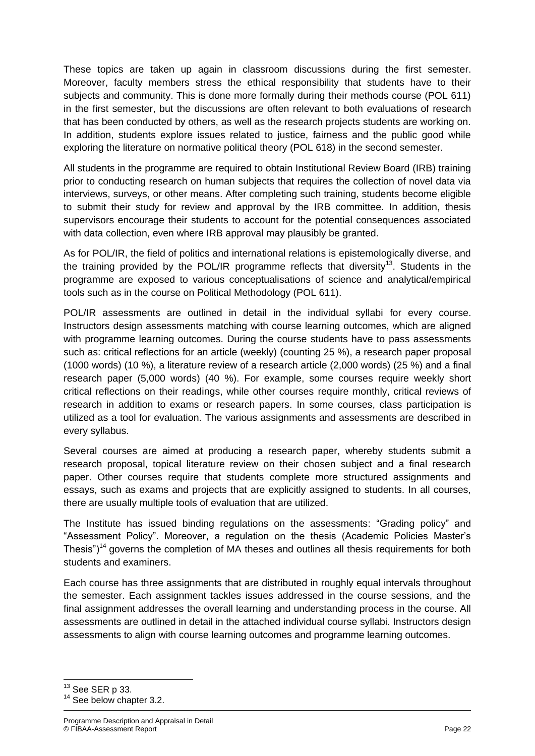These topics are taken up again in classroom discussions during the first semester. Moreover, faculty members stress the ethical responsibility that students have to their subjects and community. This is done more formally during their methods course (POL 611) in the first semester, but the discussions are often relevant to both evaluations of research that has been conducted by others, as well as the research projects students are working on. In addition, students explore issues related to justice, fairness and the public good while exploring the literature on normative political theory (POL 618) in the second semester.

All students in the programme are required to obtain Institutional Review Board (IRB) training prior to conducting research on human subjects that requires the collection of novel data via interviews, surveys, or other means. After completing such training, students become eligible to submit their study for review and approval by the IRB committee. In addition, thesis supervisors encourage their students to account for the potential consequences associated with data collection, even where IRB approval may plausibly be granted.

As for POL/IR, the field of politics and international relations is epistemologically diverse, and the training provided by the POL/IR programme reflects that diversity<sup>13</sup>. Students in the programme are exposed to various conceptualisations of science and analytical/empirical tools such as in the course on Political Methodology (POL 611).

POL/IR assessments are outlined in detail in the individual syllabi for every course. Instructors design assessments matching with course learning outcomes, which are aligned with programme learning outcomes. During the course students have to pass assessments such as: critical reflections for an article (weekly) (counting 25 %), a research paper proposal (1000 words) (10 %), a literature review of a research article (2,000 words) (25 %) and a final research paper (5,000 words) (40 %). For example, some courses require weekly short critical reflections on their readings, while other courses require monthly, critical reviews of research in addition to exams or research papers. In some courses, class participation is utilized as a tool for evaluation. The various assignments and assessments are described in every syllabus.

Several courses are aimed at producing a research paper, whereby students submit a research proposal, topical literature review on their chosen subject and a final research paper. Other courses require that students complete more structured assignments and essays, such as exams and projects that are explicitly assigned to students. In all courses, there are usually multiple tools of evaluation that are utilized.

The Institute has issued binding regulations on the assessments: "Grading policy" and "Assessment Policy". Moreover, a regulation on the thesis (Academic Policies Master's Thesis")<sup>14</sup> governs the completion of MA theses and outlines all thesis requirements for both students and examiners.

Each course has three assignments that are distributed in roughly equal intervals throughout the semester. Each assignment tackles issues addressed in the course sessions, and the final assignment addresses the overall learning and understanding process in the course. All assessments are outlined in detail in the attached individual course syllabi. Instructors design assessments to align with course learning outcomes and programme learning outcomes.

 $13$  See SER p 33.

<sup>&</sup>lt;sup>14</sup> See below chapter 3.2.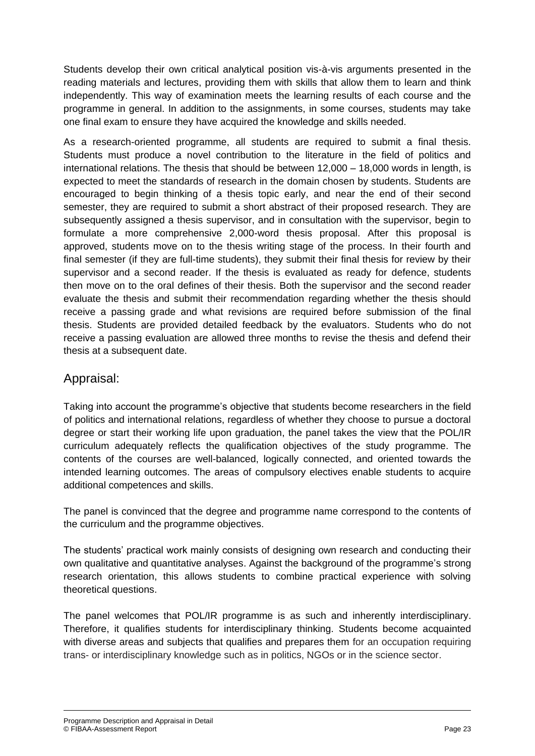Students develop their own critical analytical position vis-à-vis arguments presented in the reading materials and lectures, providing them with skills that allow them to learn and think independently. This way of examination meets the learning results of each course and the programme in general. In addition to the assignments, in some courses, students may take one final exam to ensure they have acquired the knowledge and skills needed.

As a research-oriented programme, all students are required to submit a final thesis. Students must produce a novel contribution to the literature in the field of politics and international relations. The thesis that should be between 12,000 – 18,000 words in length, is expected to meet the standards of research in the domain chosen by students. Students are encouraged to begin thinking of a thesis topic early, and near the end of their second semester, they are required to submit a short abstract of their proposed research. They are subsequently assigned a thesis supervisor, and in consultation with the supervisor, begin to formulate a more comprehensive 2,000-word thesis proposal. After this proposal is approved, students move on to the thesis writing stage of the process. In their fourth and final semester (if they are full-time students), they submit their final thesis for review by their supervisor and a second reader. If the thesis is evaluated as ready for defence, students then move on to the oral defines of their thesis. Both the supervisor and the second reader evaluate the thesis and submit their recommendation regarding whether the thesis should receive a passing grade and what revisions are required before submission of the final thesis. Students are provided detailed feedback by the evaluators. Students who do not receive a passing evaluation are allowed three months to revise the thesis and defend their thesis at a subsequent date.

#### Appraisal:

Taking into account the programme's objective that students become researchers in the field of politics and international relations, regardless of whether they choose to pursue a doctoral degree or start their working life upon graduation, the panel takes the view that the POL/IR curriculum adequately reflects the qualification objectives of the study programme. The contents of the courses are well-balanced, logically connected, and oriented towards the intended learning outcomes. The areas of compulsory electives enable students to acquire additional competences and skills.

The panel is convinced that the degree and programme name correspond to the contents of the curriculum and the programme objectives.

The students' practical work mainly consists of designing own research and conducting their own qualitative and quantitative analyses. Against the background of the programme's strong research orientation, this allows students to combine practical experience with solving theoretical questions.

The panel welcomes that POL/IR programme is as such and inherently interdisciplinary. Therefore, it qualifies students for interdisciplinary thinking. Students become acquainted with diverse areas and subjects that qualifies and prepares them for an occupation requiring trans- or interdisciplinary knowledge such as in politics, NGOs or in the science sector.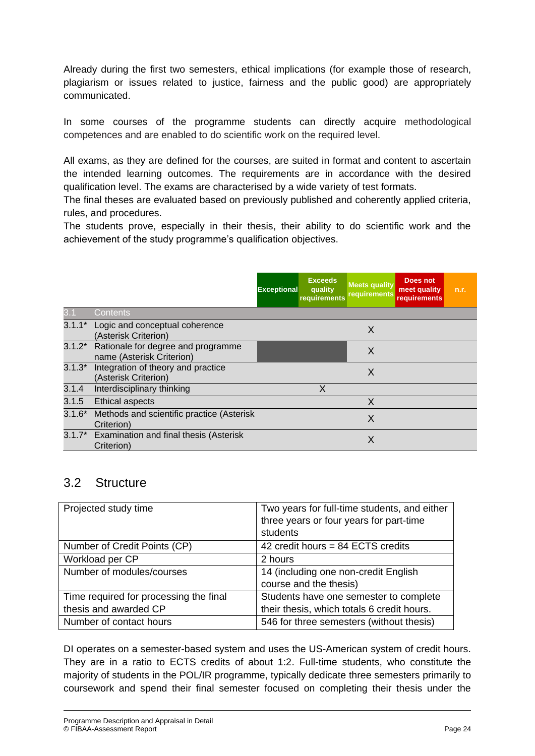Already during the first two semesters, ethical implications (for example those of research, plagiarism or issues related to justice, fairness and the public good) are appropriately communicated.

In some courses of the programme students can directly acquire methodological competences and are enabled to do scientific work on the required level.

All exams, as they are defined for the courses, are suited in format and content to ascertain the intended learning outcomes. The requirements are in accordance with the desired qualification level. The exams are characterised by a wide variety of test formats.

The final theses are evaluated based on previously published and coherently applied criteria, rules, and procedures.

The students prove, especially in their thesis, their ability to do scientific work and the achievement of the study programme's qualification objectives.

|          |                                                                 | <b>Exceptional</b> | <b>Exceeds</b><br>quality<br>requirements | <b>Meets quality</b><br>requirements | Does not<br>meet quality<br><b>requirements</b> | n.r. |
|----------|-----------------------------------------------------------------|--------------------|-------------------------------------------|--------------------------------------|-------------------------------------------------|------|
|          | Contents                                                        |                    |                                           |                                      |                                                 |      |
| $3.1.1*$ | Logic and conceptual coherence<br>(Asterisk Criterion)          |                    |                                           | X                                    |                                                 |      |
| $3.1.2*$ | Rationale for degree and programme<br>name (Asterisk Criterion) |                    |                                           | X                                    |                                                 |      |
| $3.1.3*$ | Integration of theory and practice<br>(Asterisk Criterion)      |                    |                                           | X                                    |                                                 |      |
| 3.1.4    | Interdisciplinary thinking                                      |                    | X                                         |                                      |                                                 |      |
| 3.1.5    | <b>Ethical aspects</b>                                          |                    |                                           | X                                    |                                                 |      |
| $3.1.6*$ | Methods and scientific practice (Asterisk<br>Criterion)         |                    |                                           | X                                    |                                                 |      |
|          | 3.1.7* Examination and final thesis (Asterisk<br>Criterion)     |                    |                                           | X                                    |                                                 |      |

#### 3.2 Structure

| Projected study time                   | Two years for full-time students, and either<br>three years or four years for part-time<br>students |
|----------------------------------------|-----------------------------------------------------------------------------------------------------|
| Number of Credit Points (CP)           | 42 credit hours = 84 ECTS credits                                                                   |
| Workload per CP                        | 2 hours                                                                                             |
| Number of modules/courses              | 14 (including one non-credit English                                                                |
|                                        | course and the thesis)                                                                              |
| Time required for processing the final | Students have one semester to complete                                                              |
| thesis and awarded CP                  | their thesis, which totals 6 credit hours.                                                          |
| Number of contact hours                | 546 for three semesters (without thesis)                                                            |

DI operates on a semester-based system and uses the US-American system of credit hours. They are in a ratio to ECTS credits of about 1:2. Full-time students, who constitute the majority of students in the POL/IR programme, typically dedicate three semesters primarily to coursework and spend their final semester focused on completing their thesis under the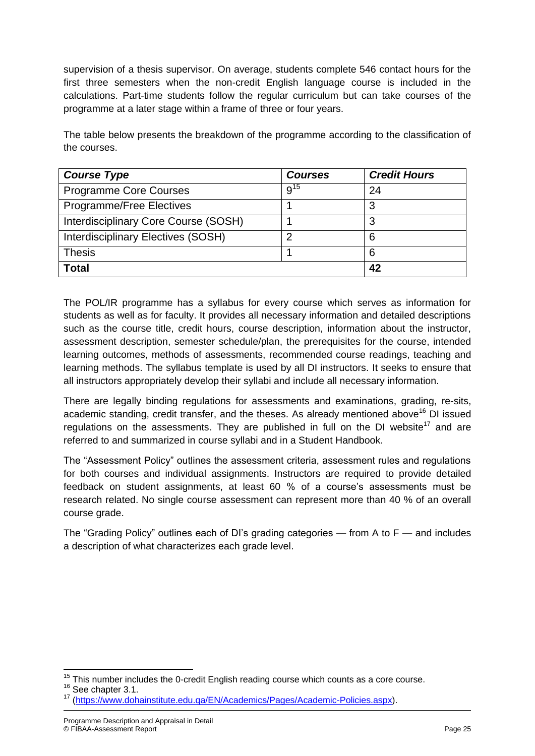supervision of a thesis supervisor. On average, students complete 546 contact hours for the first three semesters when the non-credit English language course is included in the calculations. Part-time students follow the regular curriculum but can take courses of the programme at a later stage within a frame of three or four years.

The table below presents the breakdown of the programme according to the classification of the courses.

| <b>Course Type</b>                   | <b>Courses</b> | <b>Credit Hours</b> |
|--------------------------------------|----------------|---------------------|
| <b>Programme Core Courses</b>        | $9^{15}$       | 24                  |
| Programme/Free Electives             |                | 3                   |
| Interdisciplinary Core Course (SOSH) |                | 3                   |
| Interdisciplinary Electives (SOSH)   | 2              | 6                   |
| <b>Thesis</b>                        |                | 6                   |
| Total                                |                | 42                  |

The POL/IR programme has a syllabus for every course which serves as information for students as well as for faculty. It provides all necessary information and detailed descriptions such as the course title, credit hours, course description, information about the instructor, assessment description, semester schedule/plan, the prerequisites for the course, intended learning outcomes, methods of assessments, recommended course readings, teaching and learning methods. The syllabus template is used by all DI instructors. It seeks to ensure that all instructors appropriately develop their syllabi and include all necessary information.

There are legally binding regulations for assessments and examinations, grading, re-sits, academic standing, credit transfer, and the theses. As already mentioned above<sup>16</sup> DI issued regulations on the assessments. They are published in full on the DI website<sup>17</sup> and are referred to and summarized in course syllabi and in a Student Handbook.

The "Assessment Policy" outlines the assessment criteria, assessment rules and regulations for both courses and individual assignments. Instructors are required to provide detailed feedback on student assignments, at least 60 % of a course's assessments must be research related. No single course assessment can represent more than 40 % of an overall course grade.

The "Grading Policy" outlines each of DI's grading categories — from A to F — and includes a description of what characterizes each grade level.

<sup>16</sup> See chapter 3.1.

 $\overline{\phantom{a}}$  $15$  This number includes the 0-credit English reading course which counts as a core course.

<sup>17</sup> [\(https://www.dohainstitute.edu.qa/EN/Academics/Pages/Academic-Policies.aspx\)](https://www.dohainstitute.edu.qa/EN/Academics/Pages/Academic-Policies.aspx).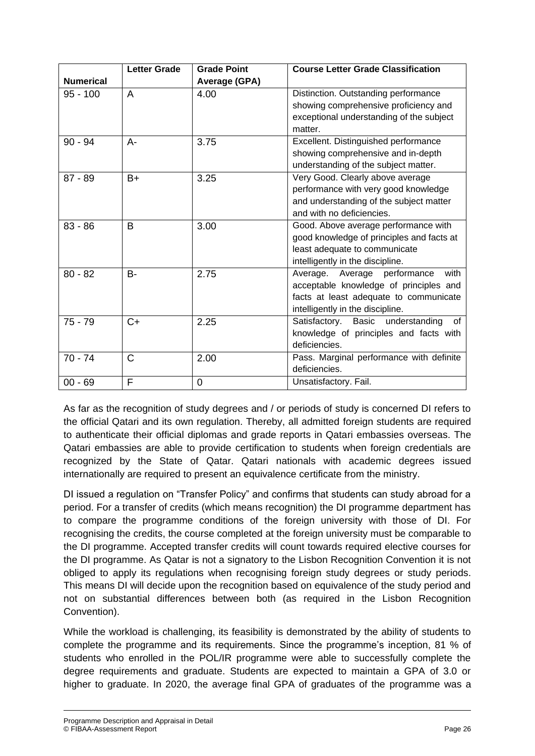| <b>Numerical</b> | <b>Letter Grade</b> | <b>Grade Point</b><br>Average (GPA) | <b>Course Letter Grade Classification</b>                                                                                                                    |
|------------------|---------------------|-------------------------------------|--------------------------------------------------------------------------------------------------------------------------------------------------------------|
| $95 - 100$       | A                   | 4.00                                | Distinction. Outstanding performance<br>showing comprehensive proficiency and<br>exceptional understanding of the subject<br>matter.                         |
| $90 - 94$        | A-                  | 3.75                                | Excellent. Distinguished performance<br>showing comprehensive and in-depth<br>understanding of the subject matter.                                           |
| $87 - 89$        | $B+$                | 3.25                                | Very Good. Clearly above average<br>performance with very good knowledge<br>and understanding of the subject matter<br>and with no deficiencies.             |
| $83 - 86$        | B                   | 3.00                                | Good. Above average performance with<br>good knowledge of principles and facts at<br>least adequate to communicate<br>intelligently in the discipline.       |
| $80 - 82$        | $B -$               | 2.75                                | Average. Average performance<br>with<br>acceptable knowledge of principles and<br>facts at least adequate to communicate<br>intelligently in the discipline. |
| $75 - 79$        | $C+$                | 2.25                                | Satisfactory. Basic understanding<br>of<br>knowledge of principles and facts with<br>deficiencies.                                                           |
| $70 - 74$        | $\mathsf{C}$        | 2.00                                | Pass. Marginal performance with definite<br>deficiencies.                                                                                                    |
| $00 - 69$        | F                   | 0                                   | Unsatisfactory. Fail.                                                                                                                                        |

As far as the recognition of study degrees and / or periods of study is concerned DI refers to the official Qatari and its own regulation. Thereby, all admitted foreign students are required to authenticate their official diplomas and grade reports in Qatari embassies overseas. The Qatari embassies are able to provide certification to students when foreign credentials are recognized by the State of Qatar. Qatari nationals with academic degrees issued internationally are required to present an equivalence certificate from the ministry.

DI issued a regulation on "Transfer Policy" and confirms that students can study abroad for a period. For a transfer of credits (which means recognition) the DI programme department has to compare the programme conditions of the foreign university with those of DI. For recognising the credits, the course completed at the foreign university must be comparable to the DI programme. Accepted transfer credits will count towards required elective courses for the DI programme. As Qatar is not a signatory to the Lisbon Recognition Convention it is not obliged to apply its regulations when recognising foreign study degrees or study periods. This means DI will decide upon the recognition based on equivalence of the study period and not on substantial differences between both (as required in the Lisbon Recognition Convention).

While the workload is challenging, its feasibility is demonstrated by the ability of students to complete the programme and its requirements. Since the programme's inception, 81 % of students who enrolled in the POL/IR programme were able to successfully complete the degree requirements and graduate. Students are expected to maintain a GPA of 3.0 or higher to graduate. In 2020, the average final GPA of graduates of the programme was a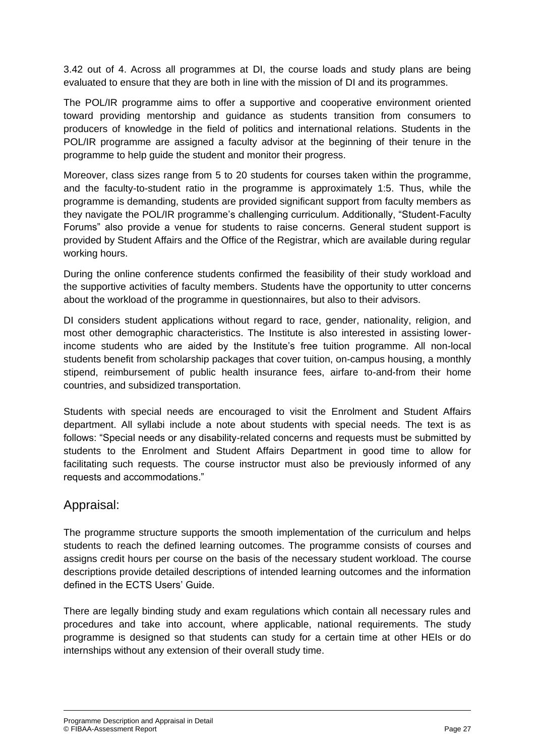3.42 out of 4. Across all programmes at DI, the course loads and study plans are being evaluated to ensure that they are both in line with the mission of DI and its programmes.

The POL/IR programme aims to offer a supportive and cooperative environment oriented toward providing mentorship and guidance as students transition from consumers to producers of knowledge in the field of politics and international relations. Students in the POL/IR programme are assigned a faculty advisor at the beginning of their tenure in the programme to help guide the student and monitor their progress.

Moreover, class sizes range from 5 to 20 students for courses taken within the programme, and the faculty-to-student ratio in the programme is approximately 1:5. Thus, while the programme is demanding, students are provided significant support from faculty members as they navigate the POL/IR programme's challenging curriculum. Additionally, "Student-Faculty Forums" also provide a venue for students to raise concerns. General student support is provided by Student Affairs and the Office of the Registrar, which are available during regular working hours.

During the online conference students confirmed the feasibility of their study workload and the supportive activities of faculty members. Students have the opportunity to utter concerns about the workload of the programme in questionnaires, but also to their advisors.

DI considers student applications without regard to race, gender, nationality, religion, and most other demographic characteristics. The Institute is also interested in assisting lowerincome students who are aided by the Institute's free tuition programme. All non-local students benefit from scholarship packages that cover tuition, on-campus housing, a monthly stipend, reimbursement of public health insurance fees, airfare to-and-from their home countries, and subsidized transportation.

Students with special needs are encouraged to visit the Enrolment and Student Affairs department. All syllabi include a note about students with special needs. The text is as follows: "Special needs or any disability-related concerns and requests must be submitted by students to the Enrolment and Student Affairs Department in good time to allow for facilitating such requests. The course instructor must also be previously informed of any requests and accommodations."

#### Appraisal:

The programme structure supports the smooth implementation of the curriculum and helps students to reach the defined learning outcomes. The programme consists of courses and assigns credit hours per course on the basis of the necessary student workload. The course descriptions provide detailed descriptions of intended learning outcomes and the information defined in the ECTS Users' Guide.

There are legally binding study and exam regulations which contain all necessary rules and procedures and take into account, where applicable, national requirements. The study programme is designed so that students can study for a certain time at other HEIs or do internships without any extension of their overall study time.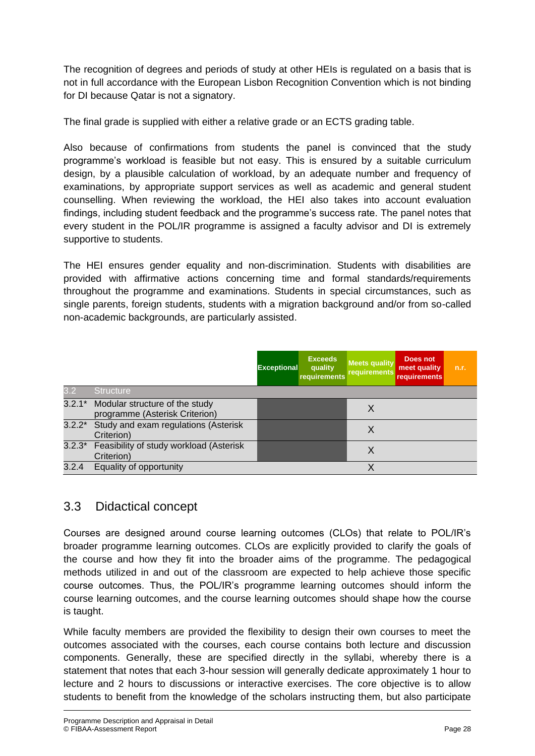The recognition of degrees and periods of study at other HEIs is regulated on a basis that is not in full accordance with the European Lisbon Recognition Convention which is not binding for DI because Qatar is not a signatory.

The final grade is supplied with either a relative grade or an ECTS grading table.

Also because of confirmations from students the panel is convinced that the study programme's workload is feasible but not easy. This is ensured by a suitable curriculum design, by a plausible calculation of workload, by an adequate number and frequency of examinations, by appropriate support services as well as academic and general student counselling. When reviewing the workload, the HEI also takes into account evaluation findings, including student feedback and the programme's success rate. The panel notes that every student in the POL/IR programme is assigned a faculty advisor and DI is extremely supportive to students.

The HEI ensures gender equality and non-discrimination. Students with disabilities are provided with affirmative actions concerning time and formal standards/requirements throughout the programme and examinations. Students in special circumstances, such as single parents, foreign students, students with a migration background and/or from so-called non-academic backgrounds, are particularly assisted.

|       |                                                                         | <b>Exceptional</b> | <b>Exceeds</b><br>quality<br>requirements | <b>Meets quality</b><br><b>requirements</b> | Does not<br>meet quality<br><b>requirements</b> | n.r. |
|-------|-------------------------------------------------------------------------|--------------------|-------------------------------------------|---------------------------------------------|-------------------------------------------------|------|
| 3.2   | <b>Structure</b>                                                        |                    |                                           |                                             |                                                 |      |
|       | 3.2.1* Modular structure of the study<br>programme (Asterisk Criterion) |                    |                                           | X                                           |                                                 |      |
|       | 3.2.2* Study and exam regulations (Asterisk<br>Criterion)               |                    |                                           | Χ                                           |                                                 |      |
|       | 3.2.3* Feasibility of study workload (Asterisk<br>Criterion)            |                    |                                           | X                                           |                                                 |      |
| 3.2.4 | Equality of opportunity                                                 |                    |                                           | Χ                                           |                                                 |      |

## 3.3 Didactical concept

Courses are designed around course learning outcomes (CLOs) that relate to POL/IR's broader programme learning outcomes. CLOs are explicitly provided to clarify the goals of the course and how they fit into the broader aims of the programme. The pedagogical methods utilized in and out of the classroom are expected to help achieve those specific course outcomes. Thus, the POL/IR's programme learning outcomes should inform the course learning outcomes, and the course learning outcomes should shape how the course is taught.

While faculty members are provided the flexibility to design their own courses to meet the outcomes associated with the courses, each course contains both lecture and discussion components. Generally, these are specified directly in the syllabi, whereby there is a statement that notes that each 3-hour session will generally dedicate approximately 1 hour to lecture and 2 hours to discussions or interactive exercises. The core objective is to allow students to benefit from the knowledge of the scholars instructing them, but also participate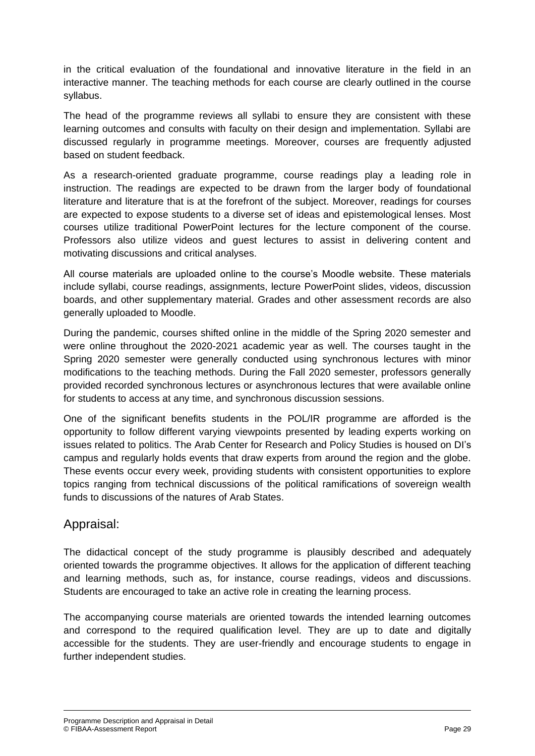in the critical evaluation of the foundational and innovative literature in the field in an interactive manner. The teaching methods for each course are clearly outlined in the course syllabus.

The head of the programme reviews all syllabi to ensure they are consistent with these learning outcomes and consults with faculty on their design and implementation. Syllabi are discussed regularly in programme meetings. Moreover, courses are frequently adjusted based on student feedback.

As a research-oriented graduate programme, course readings play a leading role in instruction. The readings are expected to be drawn from the larger body of foundational literature and literature that is at the forefront of the subject. Moreover, readings for courses are expected to expose students to a diverse set of ideas and epistemological lenses. Most courses utilize traditional PowerPoint lectures for the lecture component of the course. Professors also utilize videos and guest lectures to assist in delivering content and motivating discussions and critical analyses.

All course materials are uploaded online to the course's Moodle website. These materials include syllabi, course readings, assignments, lecture PowerPoint slides, videos, discussion boards, and other supplementary material. Grades and other assessment records are also generally uploaded to Moodle.

During the pandemic, courses shifted online in the middle of the Spring 2020 semester and were online throughout the 2020-2021 academic year as well. The courses taught in the Spring 2020 semester were generally conducted using synchronous lectures with minor modifications to the teaching methods. During the Fall 2020 semester, professors generally provided recorded synchronous lectures or asynchronous lectures that were available online for students to access at any time, and synchronous discussion sessions.

One of the significant benefits students in the POL/IR programme are afforded is the opportunity to follow different varying viewpoints presented by leading experts working on issues related to politics. The Arab Center for Research and Policy Studies is housed on DI's campus and regularly holds events that draw experts from around the region and the globe. These events occur every week, providing students with consistent opportunities to explore topics ranging from technical discussions of the political ramifications of sovereign wealth funds to discussions of the natures of Arab States.

#### Appraisal:

The didactical concept of the study programme is plausibly described and adequately oriented towards the programme objectives. It allows for the application of different teaching and learning methods, such as, for instance, course readings, videos and discussions. Students are encouraged to take an active role in creating the learning process.

The accompanying course materials are oriented towards the intended learning outcomes and correspond to the required qualification level. They are up to date and digitally accessible for the students. They are user-friendly and encourage students to engage in further independent studies.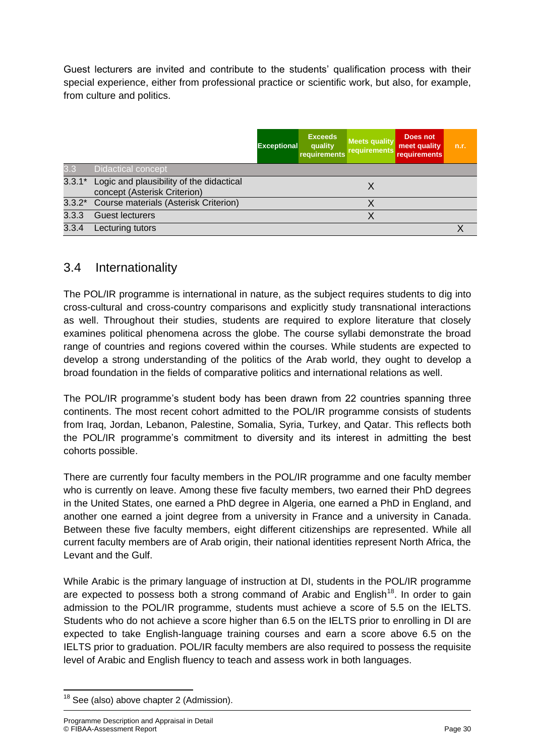Guest lecturers are invited and contribute to the students' qualification process with their special experience, either from professional practice or scientific work, but also, for example, from culture and politics.

|          |                                                                          | <b>Exceptional</b> | <b>Exceeds</b><br>quality<br>requirements | <b>Meets quality</b><br>requirements | Does not<br>meet quality<br><b>requirements</b> | n.r. |
|----------|--------------------------------------------------------------------------|--------------------|-------------------------------------------|--------------------------------------|-------------------------------------------------|------|
| 3.3      | Didactical concept                                                       |                    |                                           |                                      |                                                 |      |
| $3.3.1*$ | Logic and plausibility of the didactical<br>concept (Asterisk Criterion) |                    |                                           | X                                    |                                                 |      |
|          | 3.3.2* Course materials (Asterisk Criterion)                             |                    |                                           |                                      |                                                 |      |
| 3.3.3    | <b>Guest lecturers</b>                                                   |                    |                                           | Χ                                    |                                                 |      |
| 3.3.4    | Lecturing tutors                                                         |                    |                                           |                                      |                                                 |      |

#### 3.4 Internationality

The POL/IR programme is international in nature, as the subject requires students to dig into cross-cultural and cross-country comparisons and explicitly study transnational interactions as well. Throughout their studies, students are required to explore literature that closely examines political phenomena across the globe. The course syllabi demonstrate the broad range of countries and regions covered within the courses. While students are expected to develop a strong understanding of the politics of the Arab world, they ought to develop a broad foundation in the fields of comparative politics and international relations as well.

The POL/IR programme's student body has been drawn from 22 countries spanning three continents. The most recent cohort admitted to the POL/IR programme consists of students from Iraq, Jordan, Lebanon, Palestine, Somalia, Syria, Turkey, and Qatar. This reflects both the POL/IR programme's commitment to diversity and its interest in admitting the best cohorts possible.

There are currently four faculty members in the POL/IR programme and one faculty member who is currently on leave. Among these five faculty members, two earned their PhD degrees in the United States, one earned a PhD degree in Algeria, one earned a PhD in England, and another one earned a joint degree from a university in France and a university in Canada. Between these five faculty members, eight different citizenships are represented. While all current faculty members are of Arab origin, their national identities represent North Africa, the Levant and the Gulf.

While Arabic is the primary language of instruction at DI, students in the POL/IR programme are expected to possess both a strong command of Arabic and English<sup>18</sup>. In order to gain admission to the POL/IR programme, students must achieve a score of 5.5 on the IELTS. Students who do not achieve a score higher than 6.5 on the IELTS prior to enrolling in DI are expected to take English-language training courses and earn a score above 6.5 on the IELTS prior to graduation. POL/IR faculty members are also required to possess the requisite level of Arabic and English fluency to teach and assess work in both languages.

**<sup>.</sup>**  $18$  See (also) above chapter 2 (Admission).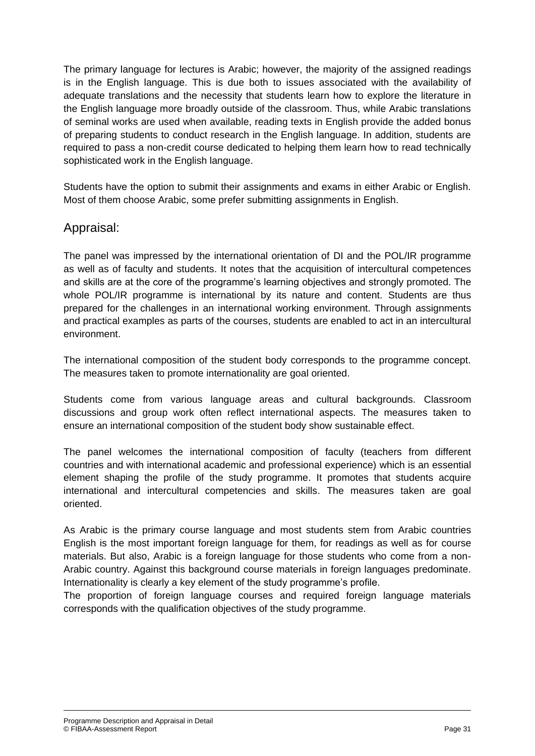The primary language for lectures is Arabic; however, the majority of the assigned readings is in the English language. This is due both to issues associated with the availability of adequate translations and the necessity that students learn how to explore the literature in the English language more broadly outside of the classroom. Thus, while Arabic translations of seminal works are used when available, reading texts in English provide the added bonus of preparing students to conduct research in the English language. In addition, students are required to pass a non-credit course dedicated to helping them learn how to read technically sophisticated work in the English language.

Students have the option to submit their assignments and exams in either Arabic or English. Most of them choose Arabic, some prefer submitting assignments in English.

#### Appraisal:

The panel was impressed by the international orientation of DI and the POL/IR programme as well as of faculty and students. It notes that the acquisition of intercultural competences and skills are at the core of the programme's learning objectives and strongly promoted. The whole POL/IR programme is international by its nature and content. Students are thus prepared for the challenges in an international working environment. Through assignments and practical examples as parts of the courses, students are enabled to act in an intercultural environment.

The international composition of the student body corresponds to the programme concept. The measures taken to promote internationality are goal oriented.

Students come from various language areas and cultural backgrounds. Classroom discussions and group work often reflect international aspects. The measures taken to ensure an international composition of the student body show sustainable effect.

The panel welcomes the international composition of faculty (teachers from different countries and with international academic and professional experience) which is an essential element shaping the profile of the study programme. It promotes that students acquire international and intercultural competencies and skills. The measures taken are goal oriented.

As Arabic is the primary course language and most students stem from Arabic countries English is the most important foreign language for them, for readings as well as for course materials. But also, Arabic is a foreign language for those students who come from a non-Arabic country. Against this background course materials in foreign languages predominate. Internationality is clearly a key element of the study programme's profile.

The proportion of foreign language courses and required foreign language materials corresponds with the qualification objectives of the study programme.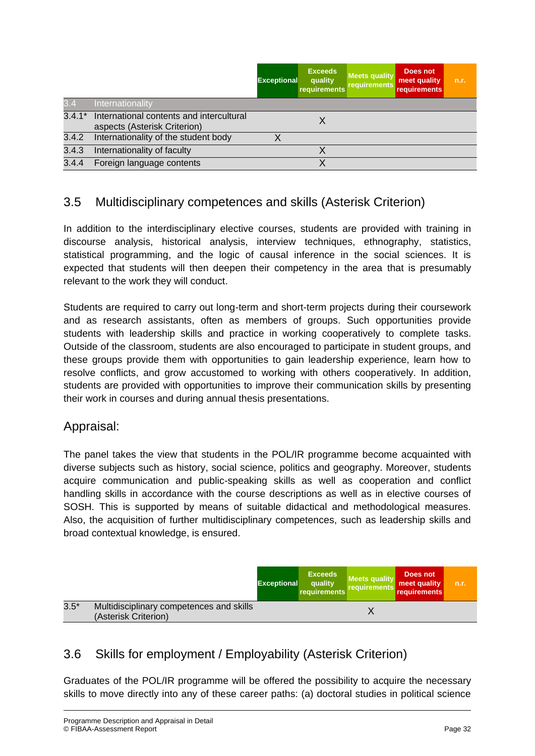|          |                                                                          | <b>Exceptional</b> | <b>Exceeds</b><br>quality<br>requirements | <b>Meets quality</b><br>requirements | Does not<br>meet quality<br>requirements | n.r. |
|----------|--------------------------------------------------------------------------|--------------------|-------------------------------------------|--------------------------------------|------------------------------------------|------|
| 3.4      | Internationality                                                         |                    |                                           |                                      |                                          |      |
| $3.4.1*$ | International contents and intercultural<br>aspects (Asterisk Criterion) |                    |                                           |                                      |                                          |      |
| 3.4.2    | Internationality of the student body                                     |                    |                                           |                                      |                                          |      |
| 3.4.3    | Internationality of faculty                                              |                    |                                           |                                      |                                          |      |
| 3.4.4    | Foreign language contents                                                |                    |                                           |                                      |                                          |      |

### 3.5 Multidisciplinary competences and skills (Asterisk Criterion)

In addition to the interdisciplinary elective courses, students are provided with training in discourse analysis, historical analysis, interview techniques, ethnography, statistics, statistical programming, and the logic of causal inference in the social sciences. It is expected that students will then deepen their competency in the area that is presumably relevant to the work they will conduct.

Students are required to carry out long-term and short-term projects during their coursework and as research assistants, often as members of groups. Such opportunities provide students with leadership skills and practice in working cooperatively to complete tasks. Outside of the classroom, students are also encouraged to participate in student groups, and these groups provide them with opportunities to gain leadership experience, learn how to resolve conflicts, and grow accustomed to working with others cooperatively. In addition, students are provided with opportunities to improve their communication skills by presenting their work in courses and during annual thesis presentations.

#### Appraisal:

The panel takes the view that students in the POL/IR programme become acquainted with diverse subjects such as history, social science, politics and geography. Moreover, students acquire communication and public-speaking skills as well as cooperation and conflict handling skills in accordance with the course descriptions as well as in elective courses of SOSH. This is supported by means of suitable didactical and methodological measures. Also, the acquisition of further multidisciplinary competences, such as leadership skills and broad contextual knowledge, is ensured.

|        |                                                                  | <b>Exceptional</b> | <b>Exceeds</b><br>quality<br>requirements | <b>Meets quality</b><br>requirements | Does not<br>meet quality<br><b>requirements</b> | n.r. |
|--------|------------------------------------------------------------------|--------------------|-------------------------------------------|--------------------------------------|-------------------------------------------------|------|
| $3.5*$ | Multidisciplinary competences and skills<br>(Asterisk Criterion) |                    |                                           |                                      |                                                 |      |

## 3.6 Skills for employment / Employability (Asterisk Criterion)

Graduates of the POL/IR programme will be offered the possibility to acquire the necessary skills to move directly into any of these career paths: (a) doctoral studies in political science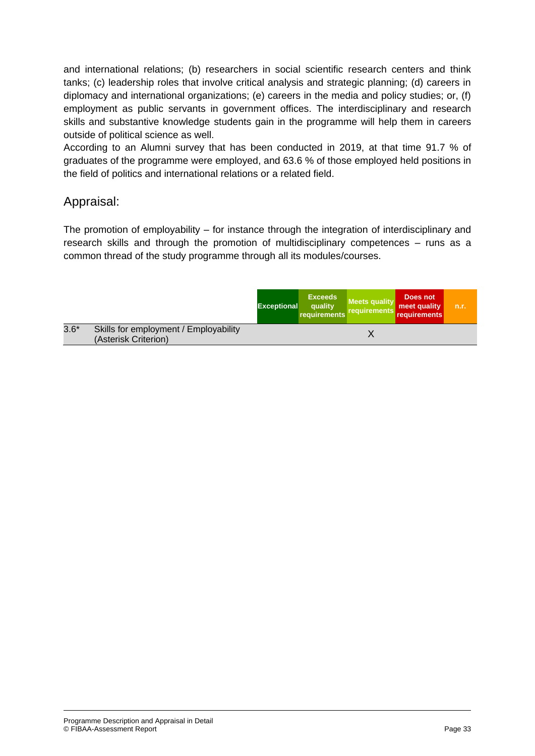and international relations; (b) researchers in social scientific research centers and think tanks; (c) leadership roles that involve critical analysis and strategic planning; (d) careers in diplomacy and international organizations; (e) careers in the media and policy studies; or, (f) employment as public servants in government offices. The interdisciplinary and research skills and substantive knowledge students gain in the programme will help them in careers outside of political science as well.

According to an Alumni survey that has been conducted in 2019, at that time 91.7 % of graduates of the programme were employed, and 63.6 % of those employed held positions in the field of politics and international relations or a related field.

#### Appraisal:

The promotion of employability – for instance through the integration of interdisciplinary and research skills and through the promotion of multidisciplinary competences – runs as a common thread of the study programme through all its modules/courses.

|        |                                                               | <b>Exceptional</b> | <b>Exceeds</b><br>quality<br>requirements | <b>Meets quality</b><br>requirements | Does not<br>meet quality<br>requirements | n.r. |
|--------|---------------------------------------------------------------|--------------------|-------------------------------------------|--------------------------------------|------------------------------------------|------|
| $3.6*$ | Skills for employment / Employability<br>(Asterisk Criterion) |                    |                                           |                                      |                                          |      |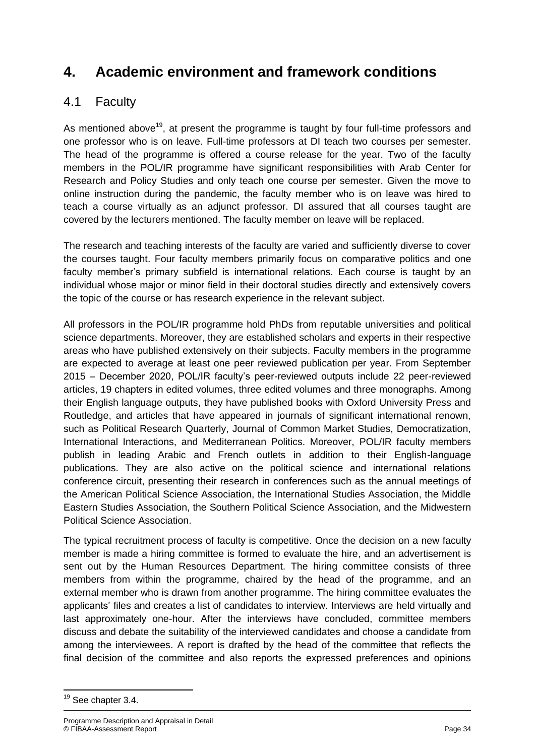## **4. Academic environment and framework conditions**

### 4.1 Faculty

As mentioned above<sup>19</sup>, at present the programme is taught by four full-time professors and one professor who is on leave. Full-time professors at DI teach two courses per semester. The head of the programme is offered a course release for the year. Two of the faculty members in the POL/IR programme have significant responsibilities with Arab Center for Research and Policy Studies and only teach one course per semester. Given the move to online instruction during the pandemic, the faculty member who is on leave was hired to teach a course virtually as an adjunct professor. DI assured that all courses taught are covered by the lecturers mentioned. The faculty member on leave will be replaced.

The research and teaching interests of the faculty are varied and sufficiently diverse to cover the courses taught. Four faculty members primarily focus on comparative politics and one faculty member's primary subfield is international relations. Each course is taught by an individual whose major or minor field in their doctoral studies directly and extensively covers the topic of the course or has research experience in the relevant subject.

All professors in the POL/IR programme hold PhDs from reputable universities and political science departments. Moreover, they are established scholars and experts in their respective areas who have published extensively on their subjects. Faculty members in the programme are expected to average at least one peer reviewed publication per year. From September 2015 – December 2020, POL/IR faculty's peer-reviewed outputs include 22 peer-reviewed articles, 19 chapters in edited volumes, three edited volumes and three monographs. Among their English language outputs, they have published books with Oxford University Press and Routledge, and articles that have appeared in journals of significant international renown, such as Political Research Quarterly, Journal of Common Market Studies, Democratization, International Interactions, and Mediterranean Politics. Moreover, POL/IR faculty members publish in leading Arabic and French outlets in addition to their English-language publications. They are also active on the political science and international relations conference circuit, presenting their research in conferences such as the annual meetings of the American Political Science Association, the International Studies Association, the Middle Eastern Studies Association, the Southern Political Science Association, and the Midwestern Political Science Association.

The typical recruitment process of faculty is competitive. Once the decision on a new faculty member is made a hiring committee is formed to evaluate the hire, and an advertisement is sent out by the Human Resources Department. The hiring committee consists of three members from within the programme, chaired by the head of the programme, and an external member who is drawn from another programme. The hiring committee evaluates the applicants' files and creates a list of candidates to interview. Interviews are held virtually and last approximately one-hour. After the interviews have concluded, committee members discuss and debate the suitability of the interviewed candidates and choose a candidate from among the interviewees. A report is drafted by the head of the committee that reflects the final decision of the committee and also reports the expressed preferences and opinions

**<sup>.</sup>** <sup>19</sup> See chapter 3.4.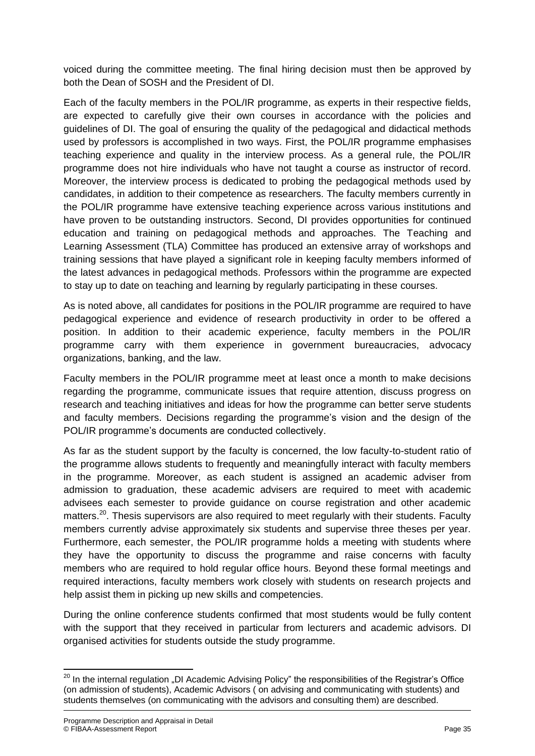voiced during the committee meeting. The final hiring decision must then be approved by both the Dean of SOSH and the President of DI.

Each of the faculty members in the POL/IR programme, as experts in their respective fields, are expected to carefully give their own courses in accordance with the policies and guidelines of DI. The goal of ensuring the quality of the pedagogical and didactical methods used by professors is accomplished in two ways. First, the POL/IR programme emphasises teaching experience and quality in the interview process. As a general rule, the POL/IR programme does not hire individuals who have not taught a course as instructor of record. Moreover, the interview process is dedicated to probing the pedagogical methods used by candidates, in addition to their competence as researchers. The faculty members currently in the POL/IR programme have extensive teaching experience across various institutions and have proven to be outstanding instructors. Second, DI provides opportunities for continued education and training on pedagogical methods and approaches. The Teaching and Learning Assessment (TLA) Committee has produced an extensive array of workshops and training sessions that have played a significant role in keeping faculty members informed of the latest advances in pedagogical methods. Professors within the programme are expected to stay up to date on teaching and learning by regularly participating in these courses.

As is noted above, all candidates for positions in the POL/IR programme are required to have pedagogical experience and evidence of research productivity in order to be offered a position. In addition to their academic experience, faculty members in the POL/IR programme carry with them experience in government bureaucracies, advocacy organizations, banking, and the law.

Faculty members in the POL/IR programme meet at least once a month to make decisions regarding the programme, communicate issues that require attention, discuss progress on research and teaching initiatives and ideas for how the programme can better serve students and faculty members. Decisions regarding the programme's vision and the design of the POL/IR programme's documents are conducted collectively.

As far as the student support by the faculty is concerned, the low faculty-to-student ratio of the programme allows students to frequently and meaningfully interact with faculty members in the programme. Moreover, as each student is assigned an academic adviser from admission to graduation, these academic advisers are required to meet with academic advisees each semester to provide guidance on course registration and other academic matters.<sup>20</sup>. Thesis supervisors are also required to meet regularly with their students. Faculty members currently advise approximately six students and supervise three theses per year. Furthermore, each semester, the POL/IR programme holds a meeting with students where they have the opportunity to discuss the programme and raise concerns with faculty members who are required to hold regular office hours. Beyond these formal meetings and required interactions, faculty members work closely with students on research projects and help assist them in picking up new skills and competencies.

During the online conference students confirmed that most students would be fully content with the support that they received in particular from lecturers and academic advisors. DI organised activities for students outside the study programme.

 $\overline{\phantom{a}}$ 

 $^{20}$  In the internal regulation "DI Academic Advising Policy" the responsibilities of the Registrar's Office (on admission of students), Academic Advisors ( on advising and communicating with students) and students themselves (on communicating with the advisors and consulting them) are described.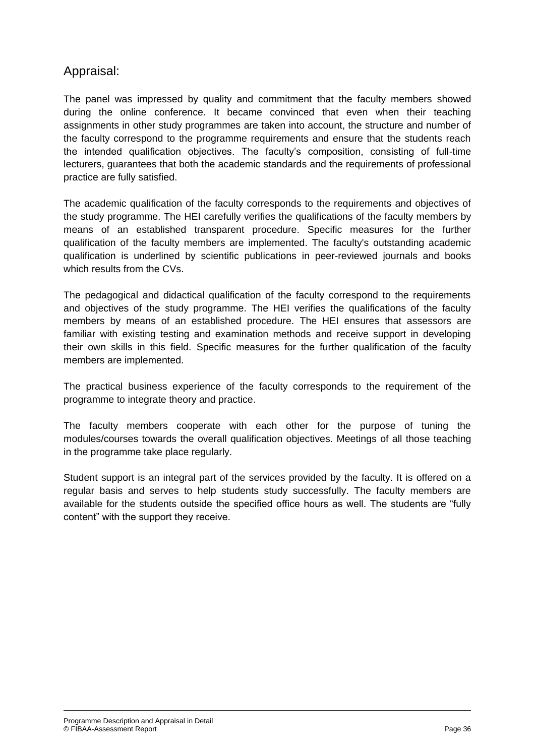### Appraisal:

The panel was impressed by quality and commitment that the faculty members showed during the online conference. It became convinced that even when their teaching assignments in other study programmes are taken into account, the structure and number of the faculty correspond to the programme requirements and ensure that the students reach the intended qualification objectives. The faculty's composition, consisting of full-time lecturers, guarantees that both the academic standards and the requirements of professional practice are fully satisfied.

The academic qualification of the faculty corresponds to the requirements and objectives of the study programme. The HEI carefully verifies the qualifications of the faculty members by means of an established transparent procedure. Specific measures for the further qualification of the faculty members are implemented. The faculty's outstanding academic qualification is underlined by scientific publications in peer-reviewed journals and books which results from the CVs.

The pedagogical and didactical qualification of the faculty correspond to the requirements and objectives of the study programme. The HEI verifies the qualifications of the faculty members by means of an established procedure. The HEI ensures that assessors are familiar with existing testing and examination methods and receive support in developing their own skills in this field. Specific measures for the further qualification of the faculty members are implemented.

The practical business experience of the faculty corresponds to the requirement of the programme to integrate theory and practice.

The faculty members cooperate with each other for the purpose of tuning the modules/courses towards the overall qualification objectives. Meetings of all those teaching in the programme take place regularly.

Student support is an integral part of the services provided by the faculty. It is offered on a regular basis and serves to help students study successfully. The faculty members are available for the students outside the specified office hours as well. The students are "fully content" with the support they receive.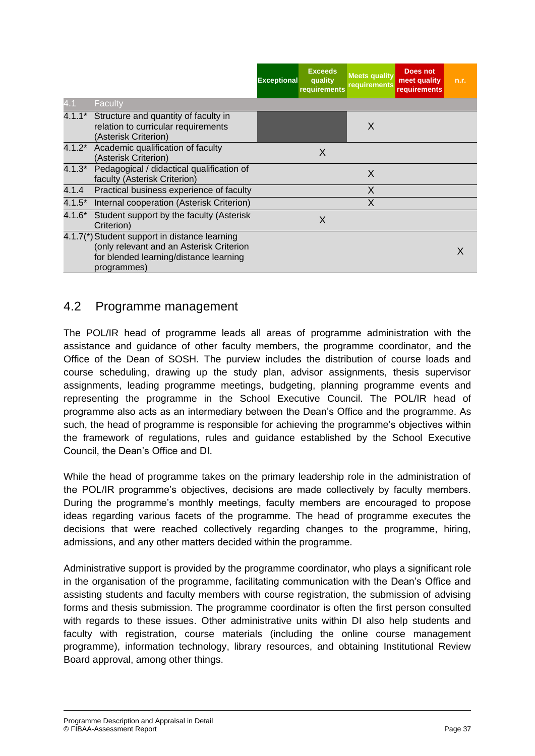|          |                                                                                                                                                    | <b>Exceptional</b> | <b>Exceeds</b><br>quality<br>requirements | <b>Meets quality</b><br>requirements | <b>Does not</b><br>meet quality<br><b>requirements</b> | n.r. |
|----------|----------------------------------------------------------------------------------------------------------------------------------------------------|--------------------|-------------------------------------------|--------------------------------------|--------------------------------------------------------|------|
| 4.1      | Faculty                                                                                                                                            |                    |                                           |                                      |                                                        |      |
|          | 4.1.1* Structure and quantity of faculty in<br>relation to curricular requirements<br>(Asterisk Criterion)                                         |                    |                                           | X                                    |                                                        |      |
|          | 4.1.2* Academic qualification of faculty<br>(Asterisk Criterion)                                                                                   |                    | X                                         |                                      |                                                        |      |
| $4.1.3*$ | Pedagogical / didactical qualification of<br>faculty (Asterisk Criterion)                                                                          |                    |                                           | X                                    |                                                        |      |
| 4.1.4    | Practical business experience of faculty                                                                                                           |                    |                                           | X                                    |                                                        |      |
| $4.1.5*$ | Internal cooperation (Asterisk Criterion)                                                                                                          |                    |                                           | X                                    |                                                        |      |
| $4.1.6*$ | Student support by the faculty (Asterisk<br>Criterion)                                                                                             |                    | X                                         |                                      |                                                        |      |
|          | 4.1.7(*) Student support in distance learning<br>(only relevant and an Asterisk Criterion<br>for blended learning/distance learning<br>programmes) |                    |                                           |                                      |                                                        |      |

#### 4.2 Programme management

The POL/IR head of programme leads all areas of programme administration with the assistance and guidance of other faculty members, the programme coordinator, and the Office of the Dean of SOSH. The purview includes the distribution of course loads and course scheduling, drawing up the study plan, advisor assignments, thesis supervisor assignments, leading programme meetings, budgeting, planning programme events and representing the programme in the School Executive Council. The POL/IR head of programme also acts as an intermediary between the Dean's Office and the programme. As such, the head of programme is responsible for achieving the programme's objectives within the framework of regulations, rules and guidance established by the School Executive Council, the Dean's Office and DI.

While the head of programme takes on the primary leadership role in the administration of the POL/IR programme's objectives, decisions are made collectively by faculty members. During the programme's monthly meetings, faculty members are encouraged to propose ideas regarding various facets of the programme. The head of programme executes the decisions that were reached collectively regarding changes to the programme, hiring, admissions, and any other matters decided within the programme.

Administrative support is provided by the programme coordinator, who plays a significant role in the organisation of the programme, facilitating communication with the Dean's Office and assisting students and faculty members with course registration, the submission of advising forms and thesis submission. The programme coordinator is often the first person consulted with regards to these issues. Other administrative units within DI also help students and faculty with registration, course materials (including the online course management programme), information technology, library resources, and obtaining Institutional Review Board approval, among other things.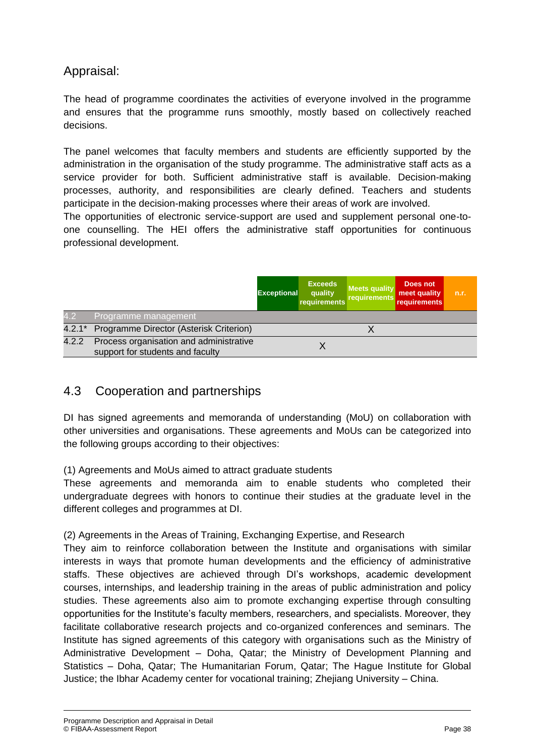## Appraisal:

The head of programme coordinates the activities of everyone involved in the programme and ensures that the programme runs smoothly, mostly based on collectively reached decisions.

The panel welcomes that faculty members and students are efficiently supported by the administration in the organisation of the study programme. The administrative staff acts as a service provider for both. Sufficient administrative staff is available. Decision-making processes, authority, and responsibilities are clearly defined. Teachers and students participate in the decision-making processes where their areas of work are involved.

The opportunities of electronic service-support are used and supplement personal one-toone counselling. The HEI offers the administrative staff opportunities for continuous professional development.

|       |                                                                             | <b>Exceptional</b> | <b>Exceeds</b><br>quality<br>requirements | <b>Meets quality</b><br>requirements | Does not<br>meet quality<br>requirements | n.r. |
|-------|-----------------------------------------------------------------------------|--------------------|-------------------------------------------|--------------------------------------|------------------------------------------|------|
| 4.2   | Programme management                                                        |                    |                                           |                                      |                                          |      |
|       | 4.2.1* Programme Director (Asterisk Criterion)                              |                    |                                           |                                      |                                          |      |
| 4.2.2 | Process organisation and administrative<br>support for students and faculty |                    |                                           |                                      |                                          |      |

### 4.3 Cooperation and partnerships

DI has signed agreements and memoranda of understanding (MoU) on collaboration with other universities and organisations. These agreements and MoUs can be categorized into the following groups according to their objectives:

#### (1) Agreements and MoUs aimed to attract graduate students

These agreements and memoranda aim to enable students who completed their undergraduate degrees with honors to continue their studies at the graduate level in the different colleges and programmes at DI.

(2) Agreements in the Areas of Training, Exchanging Expertise, and Research

They aim to reinforce collaboration between the Institute and organisations with similar interests in ways that promote human developments and the efficiency of administrative staffs. These objectives are achieved through DI's workshops, academic development courses, internships, and leadership training in the areas of public administration and policy studies. These agreements also aim to promote exchanging expertise through consulting opportunities for the Institute's faculty members, researchers, and specialists. Moreover, they facilitate collaborative research projects and co-organized conferences and seminars. The Institute has signed agreements of this category with organisations such as the Ministry of Administrative Development – Doha, Qatar; the Ministry of Development Planning and Statistics – Doha, Qatar; The Humanitarian Forum, Qatar; The Hague Institute for Global Justice; the Ibhar Academy center for vocational training; Zhejiang University – China.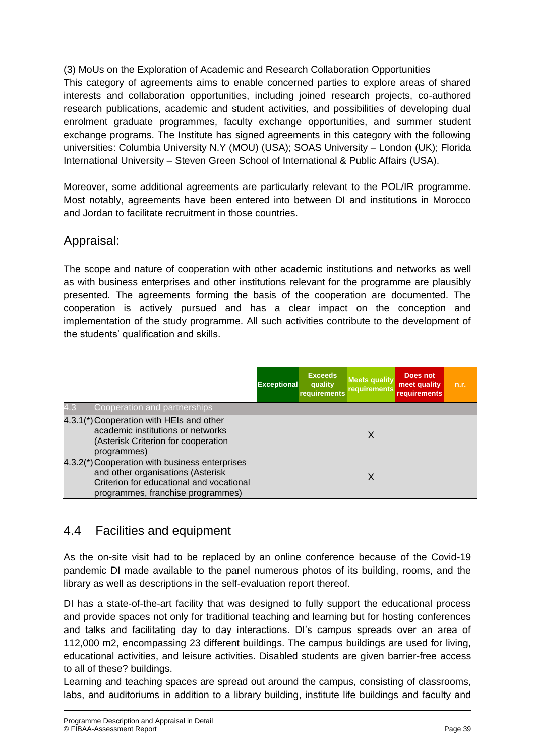(3) MoUs on the Exploration of Academic and Research Collaboration Opportunities This category of agreements aims to enable concerned parties to explore areas of shared interests and collaboration opportunities, including joined research projects, co-authored research publications, academic and student activities, and possibilities of developing dual enrolment graduate programmes, faculty exchange opportunities, and summer student exchange programs. The Institute has signed agreements in this category with the following universities: Columbia University N.Y (MOU) (USA); SOAS University – London (UK); Florida International University – Steven Green School of International & Public Affairs (USA).

Moreover, some additional agreements are particularly relevant to the POL/IR programme. Most notably, agreements have been entered into between DI and institutions in Morocco and Jordan to facilitate recruitment in those countries.

### Appraisal:

The scope and nature of cooperation with other academic institutions and networks as well as with business enterprises and other institutions relevant for the programme are plausibly presented. The agreements forming the basis of the cooperation are documented. The cooperation is actively pursued and has a clear impact on the conception and implementation of the study programme. All such activities contribute to the development of the students' qualification and skills.

|                                                                                                                                                                      | <b>Exceptional</b> | <b>Exceeds</b><br>quality<br>requirements | <b>Meets quality</b><br>requirements | Does not<br>meet quality<br><b>requirements</b> | n.r. |
|----------------------------------------------------------------------------------------------------------------------------------------------------------------------|--------------------|-------------------------------------------|--------------------------------------|-------------------------------------------------|------|
| 4.3<br>Cooperation and partnerships                                                                                                                                  |                    |                                           |                                      |                                                 |      |
| 4.3.1(*) Cooperation with HEIs and other<br>academic institutions or networks<br>(Asterisk Criterion for cooperation<br>programmes)                                  |                    |                                           | X                                    |                                                 |      |
| 4.3.2(*) Cooperation with business enterprises<br>and other organisations (Asterisk<br>Criterion for educational and vocational<br>programmes, franchise programmes) |                    |                                           | X                                    |                                                 |      |

## 4.4 Facilities and equipment

As the on-site visit had to be replaced by an online conference because of the Covid-19 pandemic DI made available to the panel numerous photos of its building, rooms, and the library as well as descriptions in the self-evaluation report thereof.

DI has a state-of-the-art facility that was designed to fully support the educational process and provide spaces not only for traditional teaching and learning but for hosting conferences and talks and facilitating day to day interactions. DI's campus spreads over an area of 112,000 m2, encompassing 23 different buildings. The campus buildings are used for living, educational activities, and leisure activities. Disabled students are given barrier-free access to all of these? buildings.

Learning and teaching spaces are spread out around the campus, consisting of classrooms, labs, and auditoriums in addition to a library building, institute life buildings and faculty and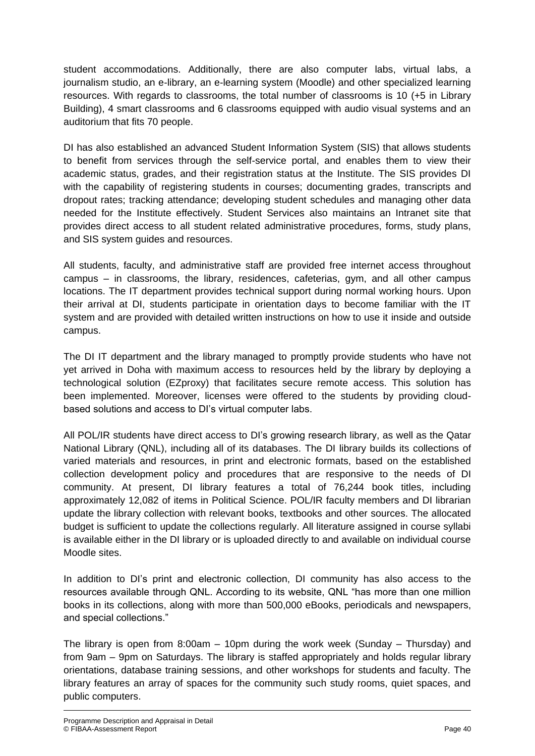student accommodations. Additionally, there are also computer labs, virtual labs, a journalism studio, an e-library, an e-learning system (Moodle) and other specialized learning resources. With regards to classrooms, the total number of classrooms is 10 (+5 in Library Building), 4 smart classrooms and 6 classrooms equipped with audio visual systems and an auditorium that fits 70 people.

DI has also established an advanced Student Information System (SIS) that allows students to benefit from services through the self-service portal, and enables them to view their academic status, grades, and their registration status at the Institute. The SIS provides DI with the capability of registering students in courses; documenting grades, transcripts and dropout rates; tracking attendance; developing student schedules and managing other data needed for the Institute effectively. Student Services also maintains an Intranet site that provides direct access to all student related administrative procedures, forms, study plans, and SIS system guides and resources.

All students, faculty, and administrative staff are provided free internet access throughout campus – in classrooms, the library, residences, cafeterias, gym, and all other campus locations. The IT department provides technical support during normal working hours. Upon their arrival at DI, students participate in orientation days to become familiar with the IT system and are provided with detailed written instructions on how to use it inside and outside campus.

The DI IT department and the library managed to promptly provide students who have not yet arrived in Doha with maximum access to resources held by the library by deploying a technological solution (EZproxy) that facilitates secure remote access. This solution has been implemented. Moreover, licenses were offered to the students by providing cloudbased solutions and access to DI's virtual computer labs.

All POL/IR students have direct access to DI's growing research library, as well as the Qatar National Library (QNL), including all of its databases. The DI library builds its collections of varied materials and resources, in print and electronic formats, based on the established collection development policy and procedures that are responsive to the needs of DI community. At present, DI library features a total of 76,244 book titles, including approximately 12,082 of items in Political Science. POL/IR faculty members and DI librarian update the library collection with relevant books, textbooks and other sources. The allocated budget is sufficient to update the collections regularly. All literature assigned in course syllabi is available either in the DI library or is uploaded directly to and available on individual course Moodle sites.

In addition to DI's print and electronic collection, DI community has also access to the resources available through QNL. According to its website, QNL "has more than one million books in its collections, along with more than 500,000 eBooks, periodicals and newspapers, and special collections."

The library is open from 8:00am  $-$  10pm during the work week (Sunday  $-$  Thursday) and from 9am – 9pm on Saturdays. The library is staffed appropriately and holds regular library orientations, database training sessions, and other workshops for students and faculty. The library features an array of spaces for the community such study rooms, quiet spaces, and public computers.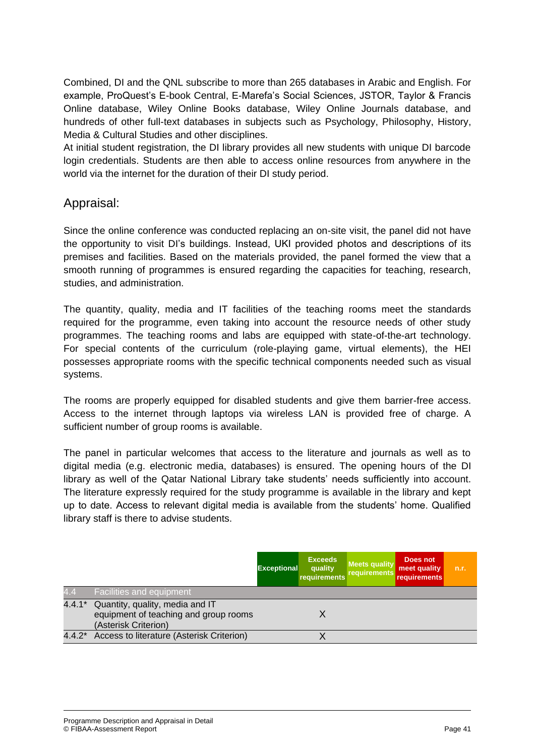Combined, DI and the QNL subscribe to more than 265 databases in Arabic and English. For example, ProQuest's E-book Central, E-Marefa's Social Sciences, JSTOR, Taylor & Francis Online database, Wiley Online Books database, Wiley Online Journals database, and hundreds of other full-text databases in subjects such as Psychology, Philosophy, History, Media & Cultural Studies and other disciplines.

At initial student registration, the DI library provides all new students with unique DI barcode login credentials. Students are then able to access online resources from anywhere in the world via the internet for the duration of their DI study period.

#### Appraisal:

Since the online conference was conducted replacing an on-site visit, the panel did not have the opportunity to visit DI's buildings. Instead, UKI provided photos and descriptions of its premises and facilities. Based on the materials provided, the panel formed the view that a smooth running of programmes is ensured regarding the capacities for teaching, research, studies, and administration.

The quantity, quality, media and IT facilities of the teaching rooms meet the standards required for the programme, even taking into account the resource needs of other study programmes. The teaching rooms and labs are equipped with state-of-the-art technology. For special contents of the curriculum (role-playing game, virtual elements), the HEI possesses appropriate rooms with the specific technical components needed such as visual systems.

The rooms are properly equipped for disabled students and give them barrier-free access. Access to the internet through laptops via wireless LAN is provided free of charge. A sufficient number of group rooms is available.

The panel in particular welcomes that access to the literature and journals as well as to digital media (e.g. electronic media, databases) is ensured. The opening hours of the DI library as well of the Qatar National Library take students' needs sufficiently into account. The literature expressly required for the study programme is available in the library and kept up to date. Access to relevant digital media is available from the students' home. Qualified library staff is there to advise students.

|          |                                                                                                  | <b>Exceptional</b> | <b>Exceeds</b><br>quality<br>requirements | <b>Meets quality</b><br>requirements | Does not<br>meet quality<br>requirements | n.r. |
|----------|--------------------------------------------------------------------------------------------------|--------------------|-------------------------------------------|--------------------------------------|------------------------------------------|------|
| 4.4      | <b>Facilities and equipment</b>                                                                  |                    |                                           |                                      |                                          |      |
| $4.4.1*$ | Quantity, quality, media and IT<br>equipment of teaching and group rooms<br>(Asterisk Criterion) |                    |                                           |                                      |                                          |      |
| $4.4.2*$ | Access to literature (Asterisk Criterion)                                                        |                    |                                           |                                      |                                          |      |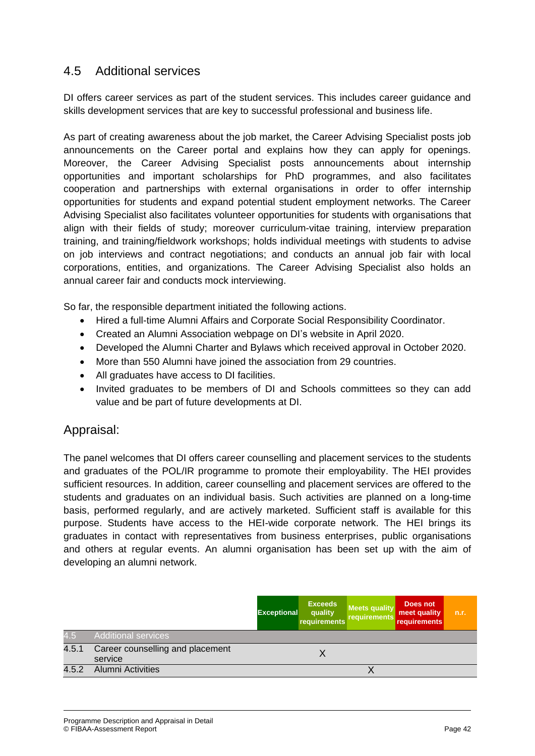### 4.5 Additional services

DI offers career services as part of the student services. This includes career guidance and skills development services that are key to successful professional and business life.

As part of creating awareness about the job market, the Career Advising Specialist posts job announcements on the Career portal and explains how they can apply for openings. Moreover, the Career Advising Specialist posts announcements about internship opportunities and important scholarships for PhD programmes, and also facilitates cooperation and partnerships with external organisations in order to offer internship opportunities for students and expand potential student employment networks. The Career Advising Specialist also facilitates volunteer opportunities for students with organisations that align with their fields of study; moreover curriculum-vitae training, interview preparation training, and training/fieldwork workshops; holds individual meetings with students to advise on job interviews and contract negotiations; and conducts an annual job fair with local corporations, entities, and organizations. The Career Advising Specialist also holds an annual career fair and conducts mock interviewing.

So far, the responsible department initiated the following actions.

- Hired a full-time Alumni Affairs and Corporate Social Responsibility Coordinator.
- Created an Alumni Association webpage on DI's website in April 2020.
- Developed the Alumni Charter and Bylaws which received approval in October 2020.
- More than 550 Alumni have joined the association from 29 countries.
- All graduates have access to DI facilities.
- Invited graduates to be members of DI and Schools committees so they can add value and be part of future developments at DI.

#### Appraisal:

The panel welcomes that DI offers career counselling and placement services to the students and graduates of the POL/IR programme to promote their employability. The HEI provides sufficient resources. In addition, career counselling and placement services are offered to the students and graduates on an individual basis. Such activities are planned on a long-time basis, performed regularly, and are actively marketed. Sufficient staff is available for this purpose. Students have access to the HEI-wide corporate network. The HEI brings its graduates in contact with representatives from business enterprises, public organisations and others at regular events. An alumni organisation has been set up with the aim of developing an alumni network.

|       |                                             | <b>Exceptional</b> | <b>Exceeds</b><br>quality<br>requirements | <b>Meets quality</b><br>requirements | Does not<br>meet quality<br><b>requirements</b> | n.r. |
|-------|---------------------------------------------|--------------------|-------------------------------------------|--------------------------------------|-------------------------------------------------|------|
| 4.5   | <b>Additional services</b>                  |                    |                                           |                                      |                                                 |      |
| 4.5.1 | Career counselling and placement<br>service |                    |                                           |                                      |                                                 |      |
| 4.5.2 | <b>Alumni Activities</b>                    |                    |                                           |                                      |                                                 |      |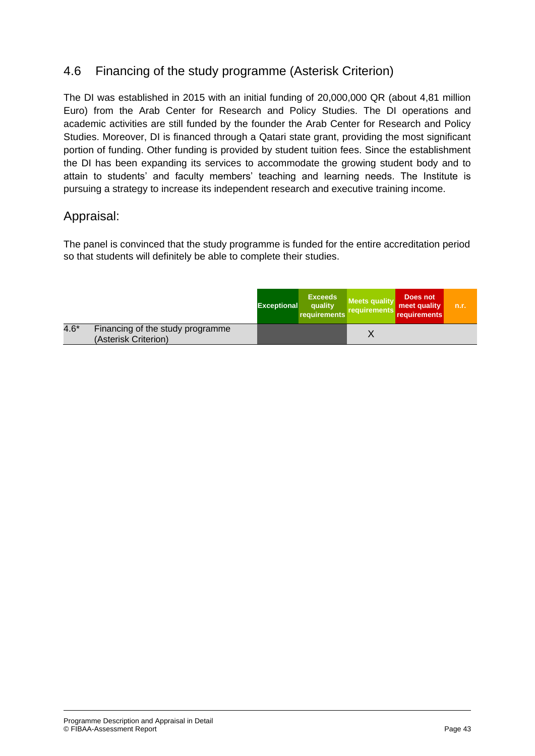## 4.6 Financing of the study programme (Asterisk Criterion)

The DI was established in 2015 with an initial funding of 20,000,000 QR (about 4,81 million Euro) from the Arab Center for Research and Policy Studies. The DI operations and academic activities are still funded by the founder the Arab Center for Research and Policy Studies. Moreover, DI is financed through a Qatari state grant, providing the most significant portion of funding. Other funding is provided by student tuition fees. Since the establishment the DI has been expanding its services to accommodate the growing student body and to attain to students' and faculty members' teaching and learning needs. The Institute is pursuing a strategy to increase its independent research and executive training income.

#### Appraisal:

The panel is convinced that the study programme is funded for the entire accreditation period so that students will definitely be able to complete their studies.

|        |                                                          | <b>Exceptional</b> | <b>Exceeds</b><br>quality<br>requirements | <b>Meets quality</b><br>requirements | Does not<br>meet quality<br>requirements | n.r. |
|--------|----------------------------------------------------------|--------------------|-------------------------------------------|--------------------------------------|------------------------------------------|------|
| $4.6*$ | Financing of the study programme<br>(Asterisk Criterion) |                    |                                           |                                      |                                          |      |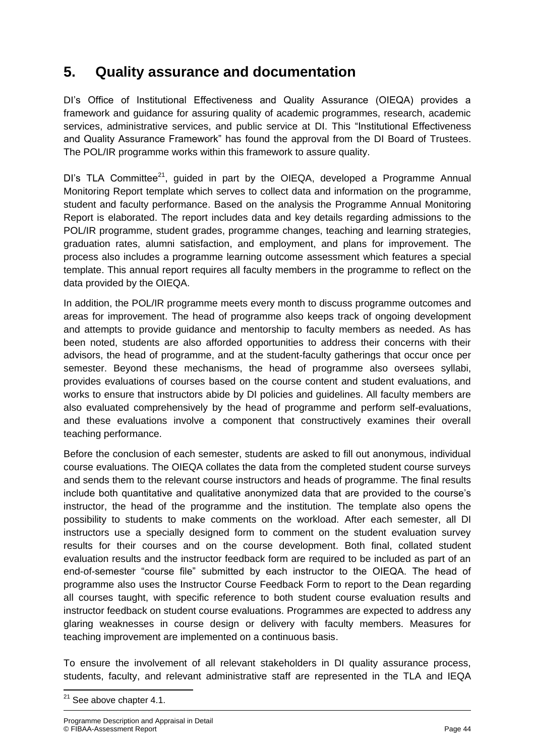## **5. Quality assurance and documentation**

DI's Office of Institutional Effectiveness and Quality Assurance (OIEQA) provides a framework and guidance for assuring quality of academic programmes, research, academic services, administrative services, and public service at DI. This "Institutional Effectiveness and Quality Assurance Framework" has found the approval from the DI Board of Trustees. The POL/IR programme works within this framework to assure quality.

DI's TLA Committee<sup>21</sup>, guided in part by the OIEQA, developed a Programme Annual Monitoring Report template which serves to collect data and information on the programme, student and faculty performance. Based on the analysis the Programme Annual Monitoring Report is elaborated. The report includes data and key details regarding admissions to the POL/IR programme, student grades, programme changes, teaching and learning strategies, graduation rates, alumni satisfaction, and employment, and plans for improvement. The process also includes a programme learning outcome assessment which features a special template. This annual report requires all faculty members in the programme to reflect on the data provided by the OIEQA.

In addition, the POL/IR programme meets every month to discuss programme outcomes and areas for improvement. The head of programme also keeps track of ongoing development and attempts to provide guidance and mentorship to faculty members as needed. As has been noted, students are also afforded opportunities to address their concerns with their advisors, the head of programme, and at the student-faculty gatherings that occur once per semester. Beyond these mechanisms, the head of programme also oversees syllabi, provides evaluations of courses based on the course content and student evaluations, and works to ensure that instructors abide by DI policies and guidelines. All faculty members are also evaluated comprehensively by the head of programme and perform self-evaluations, and these evaluations involve a component that constructively examines their overall teaching performance.

Before the conclusion of each semester, students are asked to fill out anonymous, individual course evaluations. The OIEQA collates the data from the completed student course surveys and sends them to the relevant course instructors and heads of programme. The final results include both quantitative and qualitative anonymized data that are provided to the course's instructor, the head of the programme and the institution. The template also opens the possibility to students to make comments on the workload. After each semester, all DI instructors use a specially designed form to comment on the student evaluation survey results for their courses and on the course development. Both final, collated student evaluation results and the instructor feedback form are required to be included as part of an end-of-semester "course file" submitted by each instructor to the OIEQA. The head of programme also uses the Instructor Course Feedback Form to report to the Dean regarding all courses taught, with specific reference to both student course evaluation results and instructor feedback on student course evaluations. Programmes are expected to address any glaring weaknesses in course design or delivery with faculty members. Measures for teaching improvement are implemented on a continuous basis.

To ensure the involvement of all relevant stakeholders in DI quality assurance process, students, faculty, and relevant administrative staff are represented in the TLA and IEQA

**<sup>.</sup>**  $21$  See above chapter 4.1.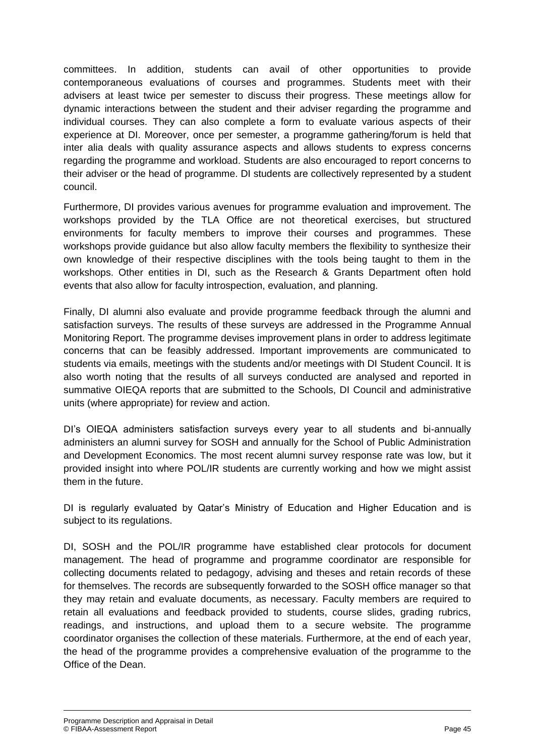committees. In addition, students can avail of other opportunities to provide contemporaneous evaluations of courses and programmes. Students meet with their advisers at least twice per semester to discuss their progress. These meetings allow for dynamic interactions between the student and their adviser regarding the programme and individual courses. They can also complete a form to evaluate various aspects of their experience at DI. Moreover, once per semester, a programme gathering/forum is held that inter alia deals with quality assurance aspects and allows students to express concerns regarding the programme and workload. Students are also encouraged to report concerns to their adviser or the head of programme. DI students are collectively represented by a student council.

Furthermore, DI provides various avenues for programme evaluation and improvement. The workshops provided by the TLA Office are not theoretical exercises, but structured environments for faculty members to improve their courses and programmes. These workshops provide guidance but also allow faculty members the flexibility to synthesize their own knowledge of their respective disciplines with the tools being taught to them in the workshops. Other entities in DI, such as the Research & Grants Department often hold events that also allow for faculty introspection, evaluation, and planning.

Finally, DI alumni also evaluate and provide programme feedback through the alumni and satisfaction surveys. The results of these surveys are addressed in the Programme Annual Monitoring Report. The programme devises improvement plans in order to address legitimate concerns that can be feasibly addressed. Important improvements are communicated to students via emails, meetings with the students and/or meetings with DI Student Council. It is also worth noting that the results of all surveys conducted are analysed and reported in summative OIEQA reports that are submitted to the Schools, DI Council and administrative units (where appropriate) for review and action.

DI's OIEQA administers satisfaction surveys every year to all students and bi-annually administers an alumni survey for SOSH and annually for the School of Public Administration and Development Economics. The most recent alumni survey response rate was low, but it provided insight into where POL/IR students are currently working and how we might assist them in the future.

DI is regularly evaluated by Qatar's Ministry of Education and Higher Education and is subject to its regulations.

DI, SOSH and the POL/IR programme have established clear protocols for document management. The head of programme and programme coordinator are responsible for collecting documents related to pedagogy, advising and theses and retain records of these for themselves. The records are subsequently forwarded to the SOSH office manager so that they may retain and evaluate documents, as necessary. Faculty members are required to retain all evaluations and feedback provided to students, course slides, grading rubrics, readings, and instructions, and upload them to a secure website. The programme coordinator organises the collection of these materials. Furthermore, at the end of each year, the head of the programme provides a comprehensive evaluation of the programme to the Office of the Dean.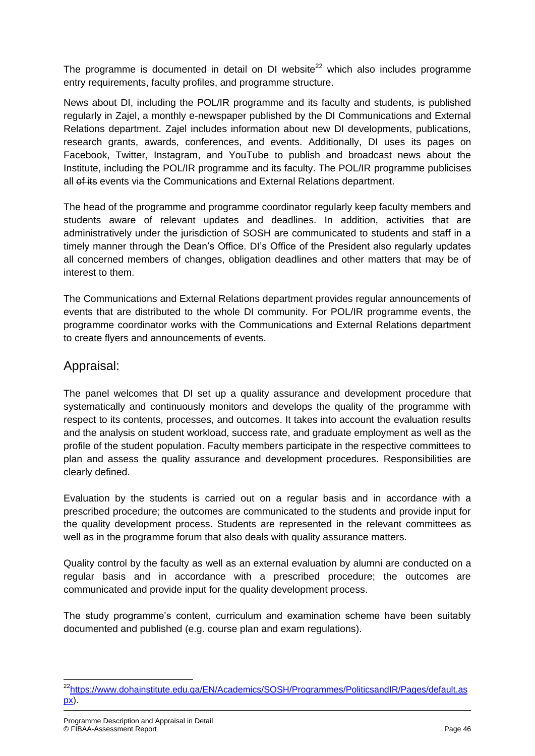The programme is documented in detail on DI website<sup>22</sup> which also includes programme entry requirements, faculty profiles, and programme structure.

News about DI, including the POL/IR programme and its faculty and students, is published regularly in Zajel, a monthly e-newspaper published by the DI Communications and External Relations department. Zajel includes information about new DI developments, publications, research grants, awards, conferences, and events. Additionally, DI uses its pages on Facebook, Twitter, Instagram, and YouTube to publish and broadcast news about the Institute, including the POL/IR programme and its faculty. The POL/IR programme publicises all of its events via the Communications and External Relations department.

The head of the programme and programme coordinator regularly keep faculty members and students aware of relevant updates and deadlines. In addition, activities that are administratively under the jurisdiction of SOSH are communicated to students and staff in a timely manner through the Dean's Office. DI's Office of the President also regularly updates all concerned members of changes, obligation deadlines and other matters that may be of interest to them.

The Communications and External Relations department provides regular announcements of events that are distributed to the whole DI community. For POL/IR programme events, the programme coordinator works with the Communications and External Relations department to create flyers and announcements of events.

#### Appraisal:

The panel welcomes that DI set up a quality assurance and development procedure that systematically and continuously monitors and develops the quality of the programme with respect to its contents, processes, and outcomes. It takes into account the evaluation results and the analysis on student workload, success rate, and graduate employment as well as the profile of the student population. Faculty members participate in the respective committees to plan and assess the quality assurance and development procedures. Responsibilities are clearly defined.

Evaluation by the students is carried out on a regular basis and in accordance with a prescribed procedure; the outcomes are communicated to the students and provide input for the quality development process. Students are represented in the relevant committees as well as in the programme forum that also deals with quality assurance matters.

Quality control by the faculty as well as an external evaluation by alumni are conducted on a regular basis and in accordance with a prescribed procedure; the outcomes are communicated and provide input for the quality development process.

The study programme's content, curriculum and examination scheme have been suitably documented and published (e.g. course plan and exam regulations).

**<sup>.</sup>** <sup>22</sup>[https://www.dohainstitute.edu.qa/EN/Academics/SOSH/Programmes/PoliticsandIR/Pages/default.as](https://www.dohainstitute.edu.qa/EN/Academics/SOSH/Programmes/PoliticsandIR/Pages/default.aspx) [px\)](https://www.dohainstitute.edu.qa/EN/Academics/SOSH/Programmes/PoliticsandIR/Pages/default.aspx).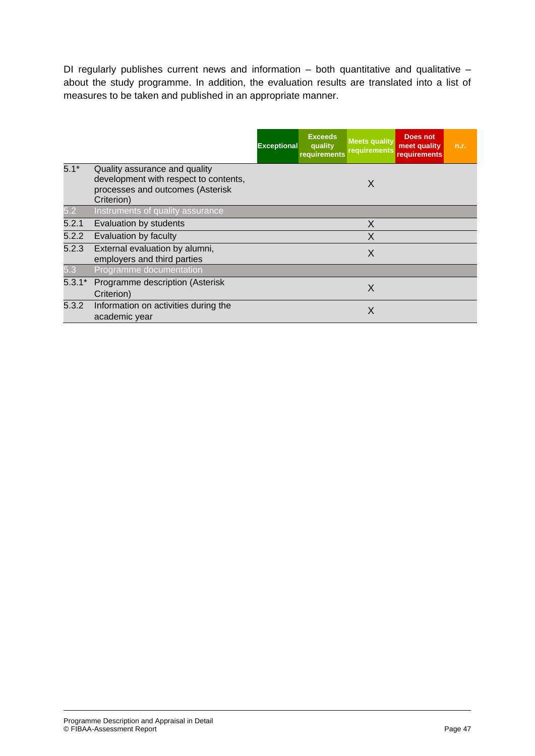DI regularly publishes current news and information  $-$  both quantitative and qualitative  $$ about the study programme. In addition, the evaluation results are translated into a list of measures to be taken and published in an appropriate manner.

|          |                                                                                                                          | <b>Exceptional</b> | <b>Exceeds</b><br>quality<br>requirements | <b>Meets quality</b><br>requirements | <b>Does not</b><br>meet quality<br><b>requirements</b> | n.r. |
|----------|--------------------------------------------------------------------------------------------------------------------------|--------------------|-------------------------------------------|--------------------------------------|--------------------------------------------------------|------|
| $5.1*$   | Quality assurance and quality<br>development with respect to contents,<br>processes and outcomes (Asterisk<br>Criterion) |                    |                                           | X                                    |                                                        |      |
| 5.2      | Instruments of quality assurance                                                                                         |                    |                                           |                                      |                                                        |      |
| 5.2.1    | Evaluation by students                                                                                                   |                    |                                           | X                                    |                                                        |      |
| 5.2.2    | Evaluation by faculty                                                                                                    |                    |                                           | X                                    |                                                        |      |
| 5.2.3    | External evaluation by alumni,<br>employers and third parties                                                            |                    |                                           | X                                    |                                                        |      |
| 5.3      | Programme documentation                                                                                                  |                    |                                           |                                      |                                                        |      |
| $5.3.1*$ | Programme description (Asterisk<br>Criterion)                                                                            |                    |                                           | X                                    |                                                        |      |
| 5.3.2    | Information on activities during the<br>academic year                                                                    |                    |                                           | X                                    |                                                        |      |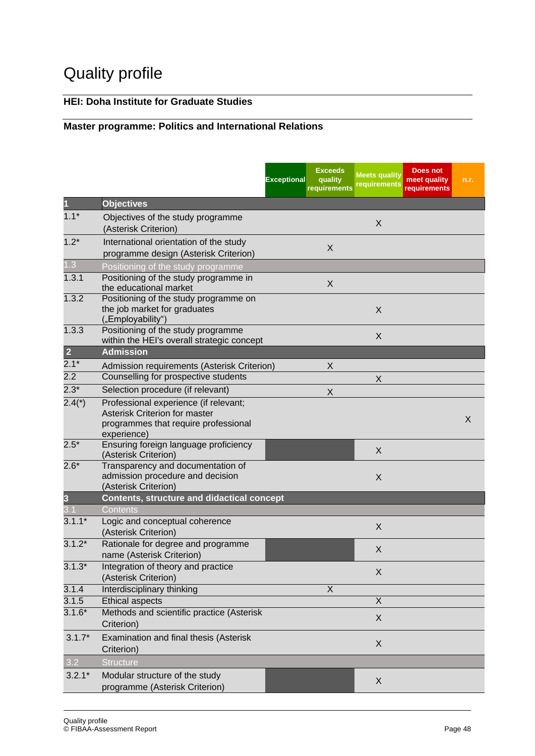# Quality profile

### **HEI: Doha Institute for Graduate Studies**

### **Master programme: Politics and International Relations**

|                |                                                                                                                | <b>Exceptional</b> | <b>Exceeds</b><br>quality<br>requirements | <b>Meets quality</b><br>requirements | Does not<br>meet quality<br>requirements | n.r. |
|----------------|----------------------------------------------------------------------------------------------------------------|--------------------|-------------------------------------------|--------------------------------------|------------------------------------------|------|
| 1              | <b>Objectives</b>                                                                                              |                    |                                           |                                      |                                          |      |
| $1.1*$         | Objectives of the study programme<br>(Asterisk Criterion)                                                      |                    |                                           | X                                    |                                          |      |
| $1.2*$         | International orientation of the study<br>programme design (Asterisk Criterion)                                |                    | X                                         |                                      |                                          |      |
| 1.3            | Positioning of the study programme                                                                             |                    |                                           |                                      |                                          |      |
| 1.3.1          | Positioning of the study programme in<br>the educational market                                                |                    | X                                         |                                      |                                          |      |
| 1.3.2          | Positioning of the study programme on<br>the job market for graduates<br>("Employability")                     |                    |                                           | X                                    |                                          |      |
| 1.3.3          | Positioning of the study programme<br>within the HEI's overall strategic concept                               |                    |                                           | X                                    |                                          |      |
| $\overline{2}$ | <b>Admission</b>                                                                                               |                    |                                           |                                      |                                          |      |
| $2.1*$         | Admission requirements (Asterisk Criterion)                                                                    |                    | X                                         |                                      |                                          |      |
| 2.2            | Counselling for prospective students                                                                           |                    |                                           | X                                    |                                          |      |
| $2.3*$         | Selection procedure (if relevant)                                                                              |                    | X                                         |                                      |                                          |      |
| $2.4(*)$       | Professional experience (if relevant;<br>Asterisk Criterion for master<br>programmes that require professional |                    |                                           |                                      |                                          | X    |
|                | experience)                                                                                                    |                    |                                           |                                      |                                          |      |
| $2.5*$         | Ensuring foreign language proficiency<br>(Asterisk Criterion)                                                  |                    |                                           | X                                    |                                          |      |
| $2.6*$         | Transparency and documentation of<br>admission procedure and decision<br>(Asterisk Criterion)                  |                    |                                           | X                                    |                                          |      |
| 3              | <b>Contents, structure and didactical concept</b>                                                              |                    |                                           |                                      |                                          |      |
|                | Contents                                                                                                       |                    |                                           |                                      |                                          |      |
| $3.1.1*$       | Logic and conceptual coherence<br>(Asterisk Criterion)                                                         |                    |                                           | X                                    |                                          |      |
| $3.1.2*$       | Rationale for degree and programme<br>name (Asterisk Criterion)                                                |                    |                                           | X                                    |                                          |      |
| $3.1.3*$       | Integration of theory and practice<br>(Asterisk Criterion)                                                     |                    |                                           | X                                    |                                          |      |
| 3.1.4          | Interdisciplinary thinking                                                                                     |                    | X                                         |                                      |                                          |      |
| 3.1.5          | <b>Ethical aspects</b>                                                                                         |                    |                                           | $\mathsf X$                          |                                          |      |
| $3.1.6*$       | Methods and scientific practice (Asterisk<br>Criterion)                                                        |                    |                                           | X                                    |                                          |      |
| $3.1.7*$       | Examination and final thesis (Asterisk<br>Criterion)                                                           |                    |                                           | X                                    |                                          |      |
| 3.2            | <b>Structure</b>                                                                                               |                    |                                           |                                      |                                          |      |
| $3.2.1*$       | Modular structure of the study<br>programme (Asterisk Criterion)                                               |                    |                                           | X                                    |                                          |      |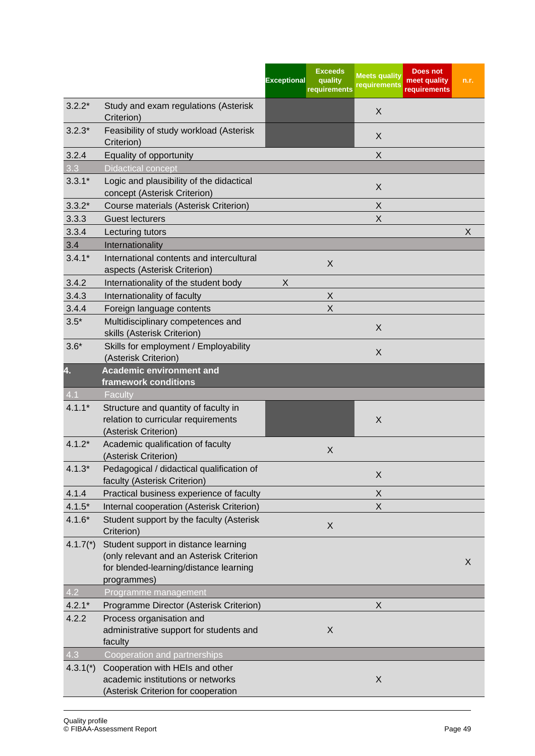|                  |                                                                                                                                           | <b>Exceeds</b><br><b>Exceptional</b><br>quality<br>requirements | <b>Meets quality</b><br>requirements | Does not<br>meet quality<br>requirements | n.r. |
|------------------|-------------------------------------------------------------------------------------------------------------------------------------------|-----------------------------------------------------------------|--------------------------------------|------------------------------------------|------|
| $3.2.2*$         | Study and exam regulations (Asterisk<br>Criterion)                                                                                        |                                                                 | X                                    |                                          |      |
| $3.2.3*$         | Feasibility of study workload (Asterisk<br>Criterion)                                                                                     |                                                                 | X                                    |                                          |      |
| 3.2.4            | Equality of opportunity                                                                                                                   |                                                                 | X                                    |                                          |      |
| 3.3              | <b>Didactical concept</b>                                                                                                                 |                                                                 |                                      |                                          |      |
| $3.3.1*$         | Logic and plausibility of the didactical<br>concept (Asterisk Criterion)                                                                  |                                                                 | X                                    |                                          |      |
| $3.3.2*$         | Course materials (Asterisk Criterion)                                                                                                     |                                                                 | X                                    |                                          |      |
| 3.3.3            | <b>Guest lecturers</b>                                                                                                                    |                                                                 | X                                    |                                          |      |
| 3.3.4            | Lecturing tutors                                                                                                                          |                                                                 |                                      |                                          | X    |
| 3.4              | Internationality                                                                                                                          |                                                                 |                                      |                                          |      |
| $3.4.1*$         | International contents and intercultural<br>aspects (Asterisk Criterion)                                                                  | X                                                               |                                      |                                          |      |
| 3.4.2            | Internationality of the student body                                                                                                      | X                                                               |                                      |                                          |      |
| 3.4.3            | Internationality of faculty                                                                                                               | X                                                               |                                      |                                          |      |
| 3.4.4            | Foreign language contents                                                                                                                 | $\sf X$                                                         |                                      |                                          |      |
| $3.5*$           | Multidisciplinary competences and<br>skills (Asterisk Criterion)                                                                          |                                                                 | X                                    |                                          |      |
| $3.6*$           | Skills for employment / Employability<br>(Asterisk Criterion)                                                                             |                                                                 | X                                    |                                          |      |
| 4.               | <b>Academic environment and</b>                                                                                                           |                                                                 |                                      |                                          |      |
|                  | framework conditions                                                                                                                      |                                                                 |                                      |                                          |      |
| $\overline{4.1}$ | Faculty                                                                                                                                   |                                                                 |                                      |                                          |      |
| $4.1.1*$         | Structure and quantity of faculty in<br>relation to curricular requirements<br>(Asterisk Criterion)                                       |                                                                 | X                                    |                                          |      |
| $4.1.2*$         | Academic qualification of faculty<br>(Asterisk Criterion)                                                                                 | X                                                               |                                      |                                          |      |
| $4.1.3*$         | Pedagogical / didactical qualification of<br>faculty (Asterisk Criterion)                                                                 |                                                                 | X                                    |                                          |      |
| 4.1.4            | Practical business experience of faculty                                                                                                  |                                                                 | X                                    |                                          |      |
| $4.1.5*$         | Internal cooperation (Asterisk Criterion)                                                                                                 |                                                                 | X                                    |                                          |      |
| $4.1.6*$         | Student support by the faculty (Asterisk<br>Criterion)                                                                                    | X                                                               |                                      |                                          |      |
| $4.1.7(*)$       | Student support in distance learning<br>(only relevant and an Asterisk Criterion<br>for blended-learning/distance learning<br>programmes) |                                                                 |                                      |                                          | X    |
| 4.2              | Programme management                                                                                                                      |                                                                 |                                      |                                          |      |
| $4.2.1*$         | Programme Director (Asterisk Criterion)                                                                                                   |                                                                 | X                                    |                                          |      |
| 4.2.2            | Process organisation and                                                                                                                  |                                                                 |                                      |                                          |      |
|                  | administrative support for students and<br>faculty                                                                                        | X                                                               |                                      |                                          |      |
| 4.3              | <b>Cooperation and partnerships</b>                                                                                                       |                                                                 |                                      |                                          |      |
| $4.3.1*$         | Cooperation with HEIs and other<br>academic institutions or networks<br>(Asterisk Criterion for cooperation                               |                                                                 | X                                    |                                          |      |
|                  |                                                                                                                                           |                                                                 |                                      |                                          |      |